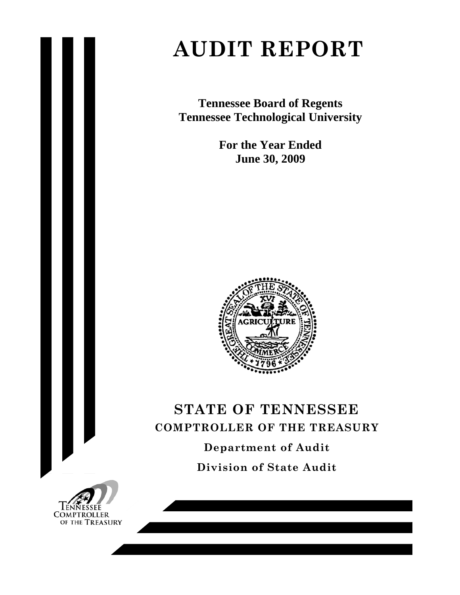# **AUDIT REPORT**

**Tennessee Board of Regents Tennessee Technological University** 

> **For the Year Ended June 30, 2009**



# **STATE OF TENNESSEE COMPTROLLER OF THE TREASURY Department of Audit**

**Division of State Audit** 

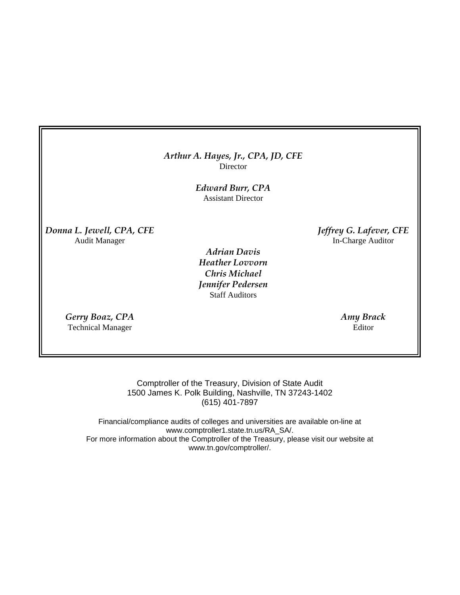## *Arthur A. Hayes, Jr., CPA, JD, CFE* **Director**

*Edward Burr, CPA*  Assistant Director

*Donna L. Jewell, CPA, CFE Jeffrey G. Lafever, CFE* Audit Manager In-Charge Auditor

> *Adrian Davis Heather Lovvorn Chris Michael Jennifer Pedersen* Staff Auditors

*Gerry Boaz, CPA Amy Brack*  Technical Manager Editor

Comptroller of the Treasury, Division of State Audit 1500 James K. Polk Building, Nashville, TN 37243-1402 (615) 401-7897

Financial/compliance audits of colleges and universities are available on-line at www.comptroller1.state.tn.us/RA\_SA/. For more information about the Comptroller of the Treasury, please visit our website at www.tn.gov/comptroller/.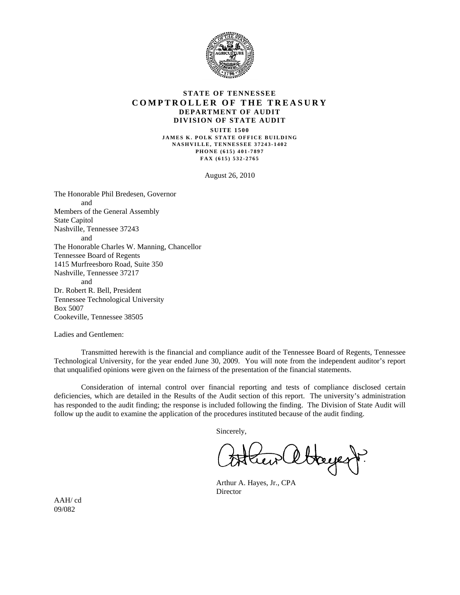

#### **STATE OF TENNESSEE COMPTROLLER OF THE TREASURY DEPARTMENT OF AUDIT DIVISION OF STATE AUDIT**

**SUITE 1500 JAMES K. POLK STATE OFFICE BUILDING NASHVILLE, TENNESSEE 37243-1402 PHONE (615) 401-7897 FAX (615) 532-2765** 

August 26, 2010

The Honorable Phil Bredesen, Governor and Members of the General Assembly State Capitol Nashville, Tennessee 37243 and The Honorable Charles W. Manning, Chancellor Tennessee Board of Regents 1415 Murfreesboro Road, Suite 350 Nashville, Tennessee 37217 and Dr. Robert R. Bell, President Tennessee Technological University Box 5007 Cookeville, Tennessee 38505

Ladies and Gentlemen:

 Transmitted herewith is the financial and compliance audit of the Tennessee Board of Regents, Tennessee Technological University, for the year ended June 30, 2009. You will note from the independent auditor's report that unqualified opinions were given on the fairness of the presentation of the financial statements.

 Consideration of internal control over financial reporting and tests of compliance disclosed certain deficiencies, which are detailed in the Results of the Audit section of this report. The university's administration has responded to the audit finding; the response is included following the finding. The Division of State Audit will follow up the audit to examine the application of the procedures instituted because of the audit finding.

Sincerely,

Hayest.

 Arthur A. Hayes, Jr., CPA Director

AAH/ cd 09/082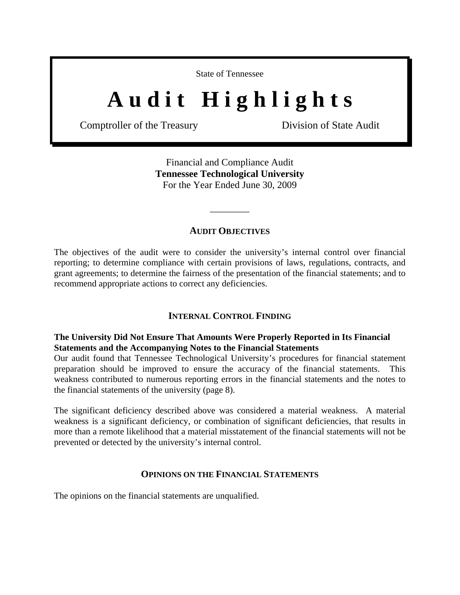State of Tennessee

# A u d i t H i g h l i g h t s

Comptroller of the Treasury Division of State Audit

Financial and Compliance Audit **Tennessee Technological University**  For the Year Ended June 30, 2009

## **AUDIT OBJECTIVES**

\_\_\_\_\_\_\_\_

The objectives of the audit were to consider the university's internal control over financial reporting; to determine compliance with certain provisions of laws, regulations, contracts, and grant agreements; to determine the fairness of the presentation of the financial statements; and to recommend appropriate actions to correct any deficiencies.

## **INTERNAL CONTROL FINDING**

# **The University Did Not Ensure That Amounts Were Properly Reported in Its Financial Statements and the Accompanying Notes to the Financial Statements**

Our audit found that Tennessee Technological University's procedures for financial statement preparation should be improved to ensure the accuracy of the financial statements. This weakness contributed to numerous reporting errors in the financial statements and the notes to the financial statements of the university (page 8).

The significant deficiency described above was considered a material weakness. A material weakness is a significant deficiency, or combination of significant deficiencies, that results in more than a remote likelihood that a material misstatement of the financial statements will not be prevented or detected by the university's internal control.

## **OPINIONS ON THE FINANCIAL STATEMENTS**

The opinions on the financial statements are unqualified.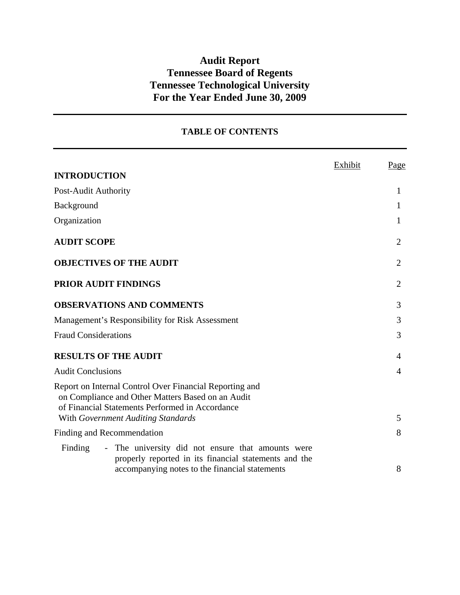# **Audit Report Tennessee Board of Regents Tennessee Technological University For the Year Ended June 30, 2009**

# **TABLE OF CONTENTS**

|                                                                                                                                                                 | Exhibit | Page           |
|-----------------------------------------------------------------------------------------------------------------------------------------------------------------|---------|----------------|
| <b>INTRODUCTION</b>                                                                                                                                             |         |                |
| Post-Audit Authority                                                                                                                                            |         | 1              |
| Background                                                                                                                                                      |         | 1              |
| Organization                                                                                                                                                    |         | 1              |
| <b>AUDIT SCOPE</b>                                                                                                                                              |         | $\overline{2}$ |
| <b>OBJECTIVES OF THE AUDIT</b>                                                                                                                                  |         | 2              |
| <b>PRIOR AUDIT FINDINGS</b>                                                                                                                                     |         | $\overline{2}$ |
| <b>OBSERVATIONS AND COMMENTS</b>                                                                                                                                |         | 3              |
| Management's Responsibility for Risk Assessment                                                                                                                 |         | 3              |
| <b>Fraud Considerations</b>                                                                                                                                     |         | 3              |
| <b>RESULTS OF THE AUDIT</b>                                                                                                                                     |         | 4              |
| <b>Audit Conclusions</b>                                                                                                                                        |         | 4              |
| Report on Internal Control Over Financial Reporting and<br>on Compliance and Other Matters Based on an Audit<br>of Financial Statements Performed in Accordance |         |                |
| With Government Auditing Standards                                                                                                                              |         | 5              |
| Finding and Recommendation                                                                                                                                      |         | 8              |
| Finding<br>- The university did not ensure that amounts were                                                                                                    |         |                |
| properly reported in its financial statements and the<br>accompanying notes to the financial statements                                                         |         | 8              |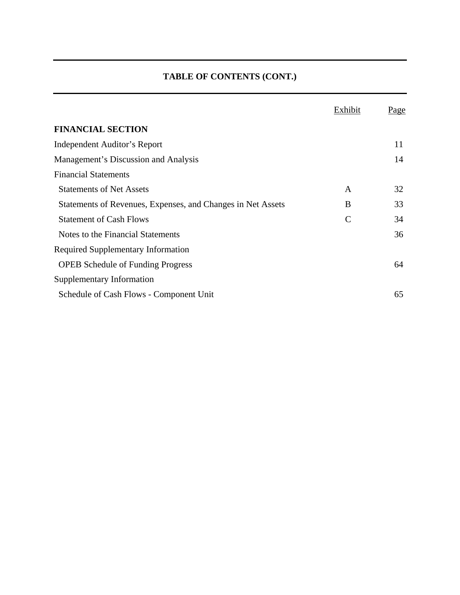# **TABLE OF CONTENTS (CONT.)**

|                                                             | Exhibit       | <u>Page</u> |
|-------------------------------------------------------------|---------------|-------------|
| <b>FINANCIAL SECTION</b>                                    |               |             |
| Independent Auditor's Report                                |               | 11          |
| Management's Discussion and Analysis                        |               | 14          |
| <b>Financial Statements</b>                                 |               |             |
| <b>Statements of Net Assets</b>                             | A             | 32          |
| Statements of Revenues, Expenses, and Changes in Net Assets | B             | 33          |
| <b>Statement of Cash Flows</b>                              | $\mathcal{C}$ | 34          |
| Notes to the Financial Statements                           |               | 36          |
| <b>Required Supplementary Information</b>                   |               |             |
| <b>OPEB</b> Schedule of Funding Progress                    |               | 64          |
| Supplementary Information                                   |               |             |
| Schedule of Cash Flows - Component Unit                     |               | 65          |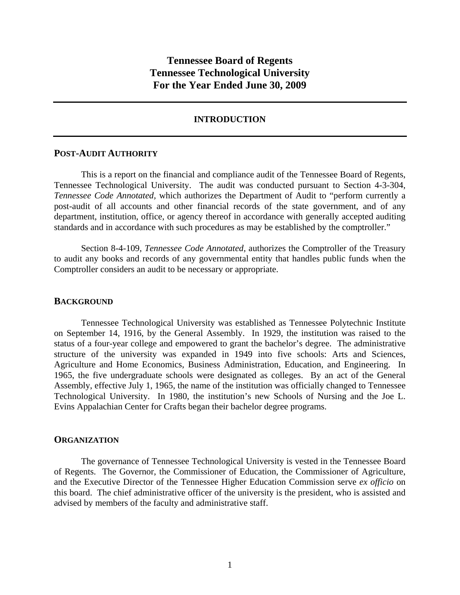# **Tennessee Board of Regents Tennessee Technological University For the Year Ended June 30, 2009**

#### **INTRODUCTION**

#### **POST-AUDIT AUTHORITY**

 This is a report on the financial and compliance audit of the Tennessee Board of Regents, Tennessee Technological University. The audit was conducted pursuant to Section 4-3-304, *Tennessee Code Annotated,* which authorizes the Department of Audit to "perform currently a post-audit of all accounts and other financial records of the state government, and of any department, institution, office, or agency thereof in accordance with generally accepted auditing standards and in accordance with such procedures as may be established by the comptroller."

 Section 8-4-109, *Tennessee Code Annotated,* authorizes the Comptroller of the Treasury to audit any books and records of any governmental entity that handles public funds when the Comptroller considers an audit to be necessary or appropriate.

#### **BACKGROUND**

Tennessee Technological University was established as Tennessee Polytechnic Institute on September 14, 1916, by the General Assembly. In 1929, the institution was raised to the status of a four-year college and empowered to grant the bachelor's degree. The administrative structure of the university was expanded in 1949 into five schools: Arts and Sciences, Agriculture and Home Economics, Business Administration, Education, and Engineering. In 1965, the five undergraduate schools were designated as colleges. By an act of the General Assembly, effective July 1, 1965, the name of the institution was officially changed to Tennessee Technological University. In 1980, the institution's new Schools of Nursing and the Joe L. Evins Appalachian Center for Crafts began their bachelor degree programs.

#### **ORGANIZATION**

 The governance of Tennessee Technological University is vested in the Tennessee Board of Regents. The Governor, the Commissioner of Education, the Commissioner of Agriculture, and the Executive Director of the Tennessee Higher Education Commission serve *ex officio* on this board. The chief administrative officer of the university is the president, who is assisted and advised by members of the faculty and administrative staff.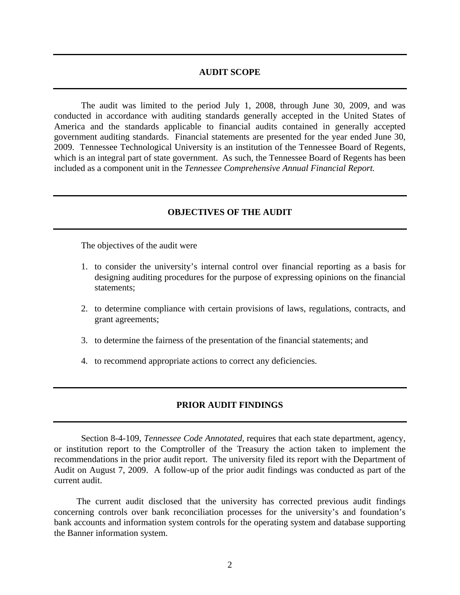#### **AUDIT SCOPE**

 The audit was limited to the period July 1, 2008, through June 30, 2009, and was conducted in accordance with auditing standards generally accepted in the United States of America and the standards applicable to financial audits contained in generally accepted government auditing standards. Financial statements are presented for the year ended June 30, 2009. Tennessee Technological University is an institution of the Tennessee Board of Regents, which is an integral part of state government. As such, the Tennessee Board of Regents has been included as a component unit in the *Tennessee Comprehensive Annual Financial Report.*

#### **OBJECTIVES OF THE AUDIT**

The objectives of the audit were

- 1. to consider the university's internal control over financial reporting as a basis for designing auditing procedures for the purpose of expressing opinions on the financial statements;
- 2. to determine compliance with certain provisions of laws, regulations, contracts, and grant agreements;
- 3. to determine the fairness of the presentation of the financial statements; and
- 4. to recommend appropriate actions to correct any deficiencies.

#### **PRIOR AUDIT FINDINGS**

 Section 8-4-109*, Tennessee Code Annotated*, requires that each state department, agency, or institution report to the Comptroller of the Treasury the action taken to implement the recommendations in the prior audit report. The university filed its report with the Department of Audit on August 7, 2009. A follow-up of the prior audit findings was conducted as part of the current audit.

 The current audit disclosed that the university has corrected previous audit findings concerning controls over bank reconciliation processes for the university's and foundation's bank accounts and information system controls for the operating system and database supporting the Banner information system.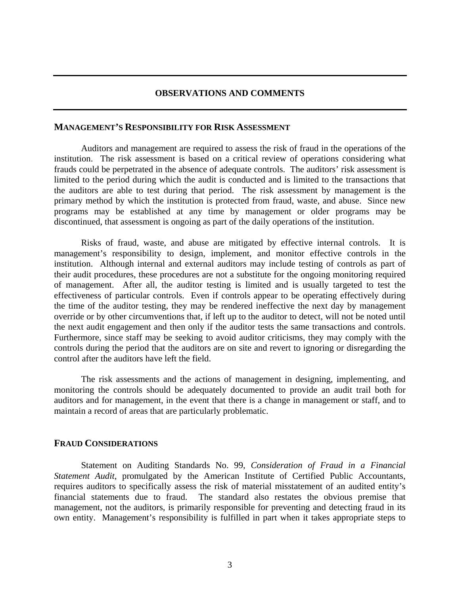## **OBSERVATIONS AND COMMENTS**

#### **MANAGEMENT'S RESPONSIBILITY FOR RISK ASSESSMENT**

Auditors and management are required to assess the risk of fraud in the operations of the institution. The risk assessment is based on a critical review of operations considering what frauds could be perpetrated in the absence of adequate controls. The auditors' risk assessment is limited to the period during which the audit is conducted and is limited to the transactions that the auditors are able to test during that period. The risk assessment by management is the primary method by which the institution is protected from fraud, waste, and abuse. Since new programs may be established at any time by management or older programs may be discontinued, that assessment is ongoing as part of the daily operations of the institution.

Risks of fraud, waste, and abuse are mitigated by effective internal controls. It is management's responsibility to design, implement, and monitor effective controls in the institution. Although internal and external auditors may include testing of controls as part of their audit procedures, these procedures are not a substitute for the ongoing monitoring required of management. After all, the auditor testing is limited and is usually targeted to test the effectiveness of particular controls. Even if controls appear to be operating effectively during the time of the auditor testing, they may be rendered ineffective the next day by management override or by other circumventions that, if left up to the auditor to detect, will not be noted until the next audit engagement and then only if the auditor tests the same transactions and controls. Furthermore, since staff may be seeking to avoid auditor criticisms, they may comply with the controls during the period that the auditors are on site and revert to ignoring or disregarding the control after the auditors have left the field.

The risk assessments and the actions of management in designing, implementing, and monitoring the controls should be adequately documented to provide an audit trail both for auditors and for management, in the event that there is a change in management or staff, and to maintain a record of areas that are particularly problematic.

## **FRAUD CONSIDERATIONS**

 Statement on Auditing Standards No. 99, *Consideration of Fraud in a Financial Statement Audit*, promulgated by the American Institute of Certified Public Accountants, requires auditors to specifically assess the risk of material misstatement of an audited entity's financial statements due to fraud. The standard also restates the obvious premise that management, not the auditors, is primarily responsible for preventing and detecting fraud in its own entity. Management's responsibility is fulfilled in part when it takes appropriate steps to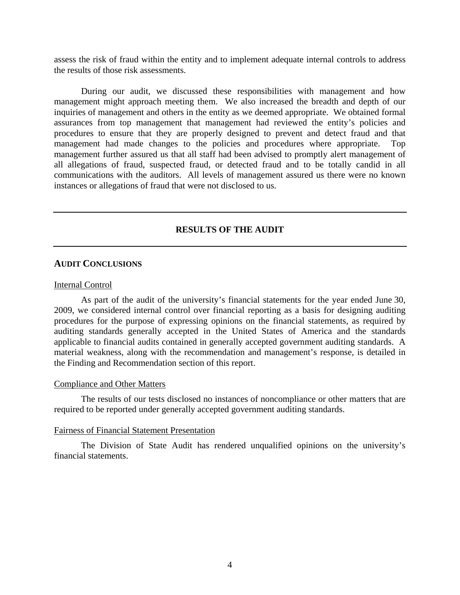assess the risk of fraud within the entity and to implement adequate internal controls to address the results of those risk assessments.

 During our audit, we discussed these responsibilities with management and how management might approach meeting them. We also increased the breadth and depth of our inquiries of management and others in the entity as we deemed appropriate. We obtained formal assurances from top management that management had reviewed the entity's policies and procedures to ensure that they are properly designed to prevent and detect fraud and that management had made changes to the policies and procedures where appropriate. Top management further assured us that all staff had been advised to promptly alert management of all allegations of fraud, suspected fraud, or detected fraud and to be totally candid in all communications with the auditors. All levels of management assured us there were no known instances or allegations of fraud that were not disclosed to us.

## **RESULTS OF THE AUDIT**

#### **AUDIT CONCLUSIONS**

#### Internal Control

As part of the audit of the university's financial statements for the year ended June 30, 2009, we considered internal control over financial reporting as a basis for designing auditing procedures for the purpose of expressing opinions on the financial statements, as required by auditing standards generally accepted in the United States of America and the standards applicable to financial audits contained in generally accepted government auditing standards. A material weakness, along with the recommendation and management's response, is detailed in the Finding and Recommendation section of this report.

#### Compliance and Other Matters

 The results of our tests disclosed no instances of noncompliance or other matters that are required to be reported under generally accepted government auditing standards.

#### Fairness of Financial Statement Presentation

 The Division of State Audit has rendered unqualified opinions on the university's financial statements.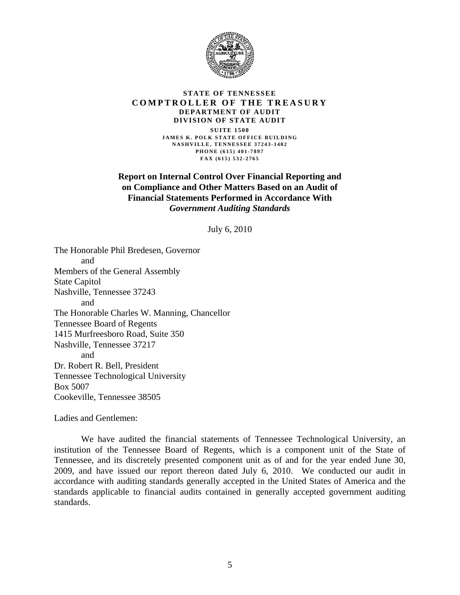

#### **STATE OF TENNESSEE COMPTROLLER OF THE TREASURY DEPARTMENT OF AUDIT DIVISION OF STATE AUDIT**

**SUITE 1500 JAMES K. POLK STATE OFFICE BUILDING NASHVILLE, TENNESSEE 37243-1402 PHONE (615) 401-7897 FAX (615) 532-2765** 

## **Report on Internal Control Over Financial Reporting and on Compliance and Other Matters Based on an Audit of Financial Statements Performed in Accordance With**  *Government Auditing Standards*

July 6, 2010

The Honorable Phil Bredesen, Governor and Members of the General Assembly State Capitol Nashville, Tennessee 37243 and The Honorable Charles W. Manning, Chancellor Tennessee Board of Regents 1415 Murfreesboro Road, Suite 350 Nashville, Tennessee 37217 and Dr. Robert R. Bell, President Tennessee Technological University Box 5007 Cookeville, Tennessee 38505

Ladies and Gentlemen:

 We have audited the financial statements of Tennessee Technological University, an institution of the Tennessee Board of Regents, which is a component unit of the State of Tennessee, and its discretely presented component unit as of and for the year ended June 30, 2009, and have issued our report thereon dated July 6, 2010. We conducted our audit in accordance with auditing standards generally accepted in the United States of America and the standards applicable to financial audits contained in generally accepted government auditing standards.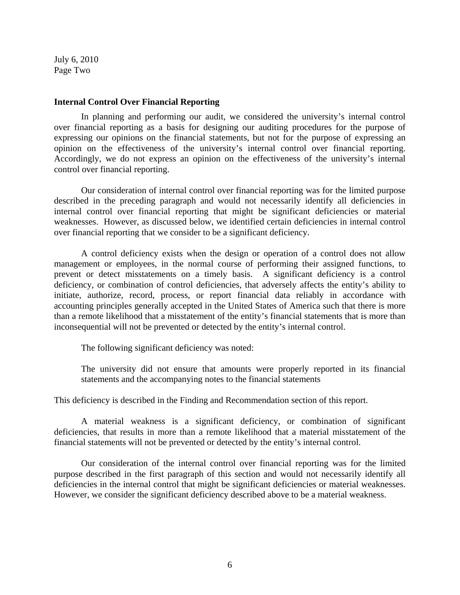July 6, 2010 Page Two

#### **Internal Control Over Financial Reporting**

 In planning and performing our audit, we considered the university's internal control over financial reporting as a basis for designing our auditing procedures for the purpose of expressing our opinions on the financial statements, but not for the purpose of expressing an opinion on the effectiveness of the university's internal control over financial reporting. Accordingly, we do not express an opinion on the effectiveness of the university's internal control over financial reporting.

Our consideration of internal control over financial reporting was for the limited purpose described in the preceding paragraph and would not necessarily identify all deficiencies in internal control over financial reporting that might be significant deficiencies or material weaknesses. However, as discussed below, we identified certain deficiencies in internal control over financial reporting that we consider to be a significant deficiency.

 A control deficiency exists when the design or operation of a control does not allow management or employees, in the normal course of performing their assigned functions, to prevent or detect misstatements on a timely basis. A significant deficiency is a control deficiency, or combination of control deficiencies, that adversely affects the entity's ability to initiate, authorize, record, process, or report financial data reliably in accordance with accounting principles generally accepted in the United States of America such that there is more than a remote likelihood that a misstatement of the entity's financial statements that is more than inconsequential will not be prevented or detected by the entity's internal control.

The following significant deficiency was noted:

The university did not ensure that amounts were properly reported in its financial statements and the accompanying notes to the financial statements

This deficiency is described in the Finding and Recommendation section of this report.

 A material weakness is a significant deficiency, or combination of significant deficiencies, that results in more than a remote likelihood that a material misstatement of the financial statements will not be prevented or detected by the entity's internal control.

Our consideration of the internal control over financial reporting was for the limited purpose described in the first paragraph of this section and would not necessarily identify all deficiencies in the internal control that might be significant deficiencies or material weaknesses. However, we consider the significant deficiency described above to be a material weakness.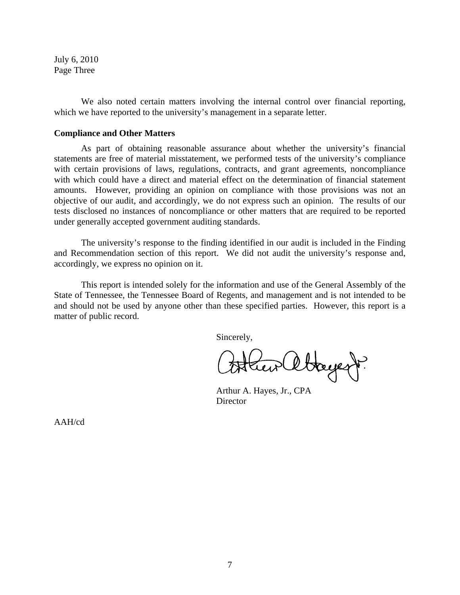July 6, 2010 Page Three

 We also noted certain matters involving the internal control over financial reporting, which we have reported to the university's management in a separate letter.

#### **Compliance and Other Matters**

 As part of obtaining reasonable assurance about whether the university's financial statements are free of material misstatement, we performed tests of the university's compliance with certain provisions of laws, regulations, contracts, and grant agreements, noncompliance with which could have a direct and material effect on the determination of financial statement amounts. However, providing an opinion on compliance with those provisions was not an objective of our audit, and accordingly, we do not express such an opinion. The results of our tests disclosed no instances of noncompliance or other matters that are required to be reported under generally accepted government auditing standards.

 The university's response to the finding identified in our audit is included in the Finding and Recommendation section of this report. We did not audit the university's response and, accordingly, we express no opinion on it.

This report is intended solely for the information and use of the General Assembly of the State of Tennessee, the Tennessee Board of Regents, and management and is not intended to be and should not be used by anyone other than these specified parties. However, this report is a matter of public record.

Sincerely,

Stayert.

 Arthur A. Hayes, Jr., CPA **Director** 

AAH/cd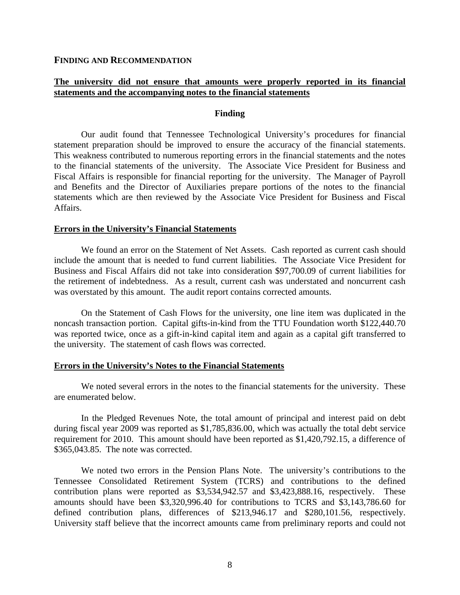**FINDING AND RECOMMENDATION**

## **The university did not ensure that amounts were properly reported in its financial statements and the accompanying notes to the financial statements**

#### **Finding**

Our audit found that Tennessee Technological University's procedures for financial statement preparation should be improved to ensure the accuracy of the financial statements. This weakness contributed to numerous reporting errors in the financial statements and the notes to the financial statements of the university. The Associate Vice President for Business and Fiscal Affairs is responsible for financial reporting for the university. The Manager of Payroll and Benefits and the Director of Auxiliaries prepare portions of the notes to the financial statements which are then reviewed by the Associate Vice President for Business and Fiscal Affairs.

#### **Errors in the University's Financial Statements**

We found an error on the Statement of Net Assets. Cash reported as current cash should include the amount that is needed to fund current liabilities. The Associate Vice President for Business and Fiscal Affairs did not take into consideration \$97,700.09 of current liabilities for the retirement of indebtedness. As a result, current cash was understated and noncurrent cash was overstated by this amount. The audit report contains corrected amounts.

On the Statement of Cash Flows for the university, one line item was duplicated in the noncash transaction portion. Capital gifts-in-kind from the TTU Foundation worth \$122,440.70 was reported twice, once as a gift-in-kind capital item and again as a capital gift transferred to the university. The statement of cash flows was corrected.

#### **Errors in the University's Notes to the Financial Statements**

 We noted several errors in the notes to the financial statements for the university. These are enumerated below.

In the Pledged Revenues Note, the total amount of principal and interest paid on debt during fiscal year 2009 was reported as \$1,785,836.00, which was actually the total debt service requirement for 2010. This amount should have been reported as \$1,420,792.15, a difference of \$365,043.85. The note was corrected.

We noted two errors in the Pension Plans Note. The university's contributions to the Tennessee Consolidated Retirement System (TCRS) and contributions to the defined contribution plans were reported as \$3,534,942.57 and \$3,423,888.16, respectively. These amounts should have been \$3,320,996.40 for contributions to TCRS and \$3,143,786.60 for defined contribution plans, differences of \$213,946.17 and \$280,101.56, respectively. University staff believe that the incorrect amounts came from preliminary reports and could not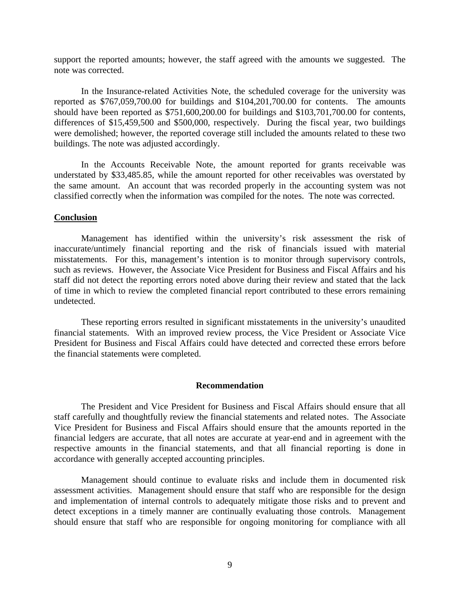support the reported amounts; however, the staff agreed with the amounts we suggested. The note was corrected.

 In the Insurance-related Activities Note, the scheduled coverage for the university was reported as \$767,059,700.00 for buildings and \$104,201,700.00 for contents. The amounts should have been reported as \$751,600,200.00 for buildings and \$103,701,700.00 for contents, differences of \$15,459,500 and \$500,000, respectively. During the fiscal year, two buildings were demolished; however, the reported coverage still included the amounts related to these two buildings. The note was adjusted accordingly.

In the Accounts Receivable Note, the amount reported for grants receivable was understated by \$33,485.85, while the amount reported for other receivables was overstated by the same amount. An account that was recorded properly in the accounting system was not classified correctly when the information was compiled for the notes. The note was corrected.

#### **Conclusion**

Management has identified within the university's risk assessment the risk of inaccurate/untimely financial reporting and the risk of financials issued with material misstatements. For this, management's intention is to monitor through supervisory controls, such as reviews. However, the Associate Vice President for Business and Fiscal Affairs and his staff did not detect the reporting errors noted above during their review and stated that the lack of time in which to review the completed financial report contributed to these errors remaining undetected.

 These reporting errors resulted in significant misstatements in the university's unaudited financial statements. With an improved review process, the Vice President or Associate Vice President for Business and Fiscal Affairs could have detected and corrected these errors before the financial statements were completed.

#### **Recommendation**

The President and Vice President for Business and Fiscal Affairs should ensure that all staff carefully and thoughtfully review the financial statements and related notes. The Associate Vice President for Business and Fiscal Affairs should ensure that the amounts reported in the financial ledgers are accurate, that all notes are accurate at year-end and in agreement with the respective amounts in the financial statements, and that all financial reporting is done in accordance with generally accepted accounting principles.

 Management should continue to evaluate risks and include them in documented risk assessment activities. Management should ensure that staff who are responsible for the design and implementation of internal controls to adequately mitigate those risks and to prevent and detect exceptions in a timely manner are continually evaluating those controls. Management should ensure that staff who are responsible for ongoing monitoring for compliance with all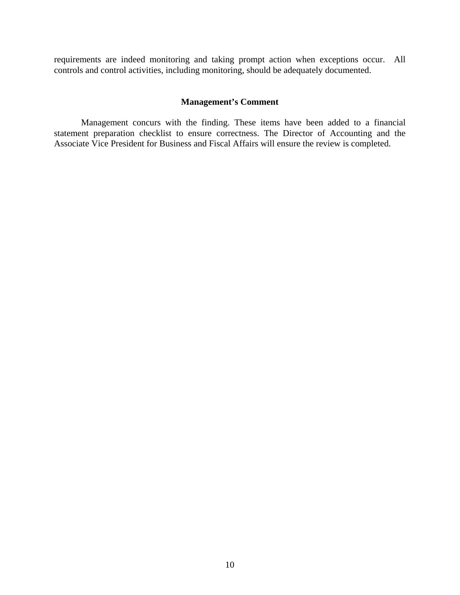requirements are indeed monitoring and taking prompt action when exceptions occur. All controls and control activities, including monitoring, should be adequately documented.

## **Management's Comment**

 Management concurs with the finding. These items have been added to a financial statement preparation checklist to ensure correctness. The Director of Accounting and the Associate Vice President for Business and Fiscal Affairs will ensure the review is completed.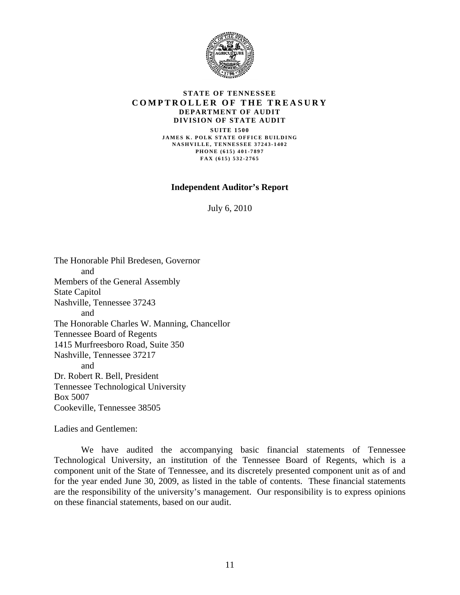

#### **STATE OF TENNESSEE COMPTROLLER OF THE TREASURY DEPARTMENT OF AUDIT DIVISION OF STATE AUDIT**

**SUITE 1500 JAMES K. POLK STATE OFFICE BUILDING NASHVILLE, TENNESSEE 37243-1402 PHONE (615) 401-7897 FAX (615) 532-2765** 

**Independent Auditor's Report**

July 6, 2010

The Honorable Phil Bredesen, Governor and Members of the General Assembly State Capitol Nashville, Tennessee 37243 and The Honorable Charles W. Manning, Chancellor Tennessee Board of Regents 1415 Murfreesboro Road, Suite 350 Nashville, Tennessee 37217 and Dr. Robert R. Bell, President Tennessee Technological University Box 5007 Cookeville, Tennessee 38505

Ladies and Gentlemen:

 We have audited the accompanying basic financial statements of Tennessee Technological University, an institution of the Tennessee Board of Regents, which is a component unit of the State of Tennessee, and its discretely presented component unit as of and for the year ended June 30, 2009, as listed in the table of contents. These financial statements are the responsibility of the university's management. Our responsibility is to express opinions on these financial statements, based on our audit.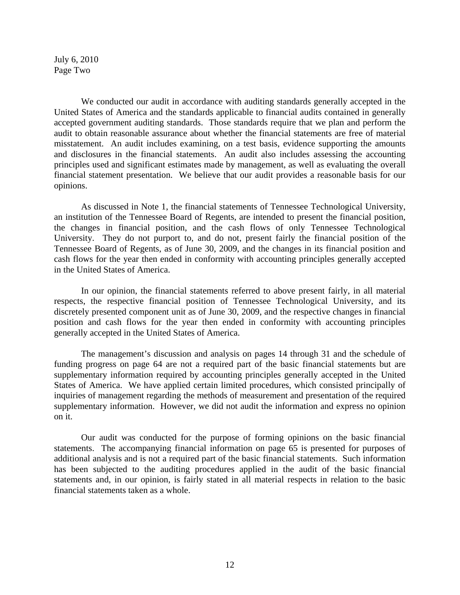July 6, 2010 Page Two

We conducted our audit in accordance with auditing standards generally accepted in the United States of America and the standards applicable to financial audits contained in generally accepted government auditing standards. Those standards require that we plan and perform the audit to obtain reasonable assurance about whether the financial statements are free of material misstatement. An audit includes examining, on a test basis, evidence supporting the amounts and disclosures in the financial statements. An audit also includes assessing the accounting principles used and significant estimates made by management, as well as evaluating the overall financial statement presentation. We believe that our audit provides a reasonable basis for our opinions.

As discussed in Note 1, the financial statements of Tennessee Technological University, an institution of the Tennessee Board of Regents, are intended to present the financial position, the changes in financial position, and the cash flows of only Tennessee Technological University. They do not purport to, and do not, present fairly the financial position of the Tennessee Board of Regents, as of June 30, 2009, and the changes in its financial position and cash flows for the year then ended in conformity with accounting principles generally accepted in the United States of America.

 In our opinion, the financial statements referred to above present fairly, in all material respects, the respective financial position of Tennessee Technological University, and its discretely presented component unit as of June 30, 2009, and the respective changes in financial position and cash flows for the year then ended in conformity with accounting principles generally accepted in the United States of America.

 The management's discussion and analysis on pages 14 through 31 and the schedule of funding progress on page 64 are not a required part of the basic financial statements but are supplementary information required by accounting principles generally accepted in the United States of America. We have applied certain limited procedures, which consisted principally of inquiries of management regarding the methods of measurement and presentation of the required supplementary information. However, we did not audit the information and express no opinion on it.

 Our audit was conducted for the purpose of forming opinions on the basic financial statements. The accompanying financial information on page 65 is presented for purposes of additional analysis and is not a required part of the basic financial statements. Such information has been subjected to the auditing procedures applied in the audit of the basic financial statements and, in our opinion, is fairly stated in all material respects in relation to the basic financial statements taken as a whole.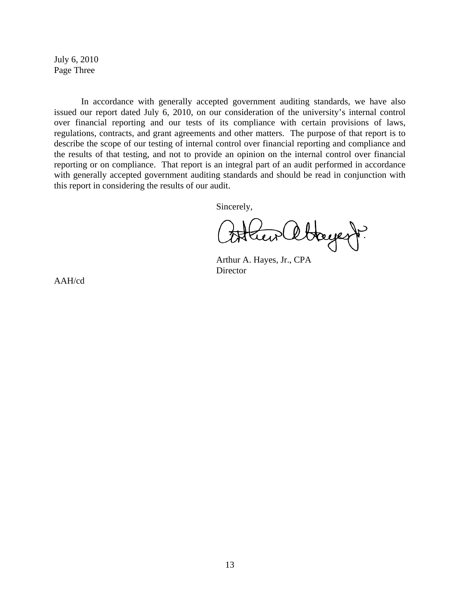July 6, 2010 Page Three

In accordance with generally accepted government auditing standards, we have also issued our report dated July 6, 2010, on our consideration of the university's internal control over financial reporting and our tests of its compliance with certain provisions of laws, regulations, contracts, and grant agreements and other matters. The purpose of that report is to describe the scope of our testing of internal control over financial reporting and compliance and the results of that testing, and not to provide an opinion on the internal control over financial reporting or on compliance. That report is an integral part of an audit performed in accordance with generally accepted government auditing standards and should be read in conjunction with this report in considering the results of our audit.

Sincerely,

Lew abayer.

 Arthur A. Hayes, Jr., CPA **Director** 

AAH/cd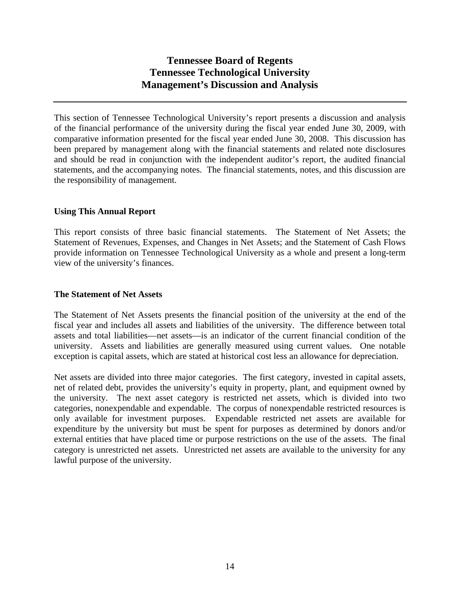This section of Tennessee Technological University's report presents a discussion and analysis of the financial performance of the university during the fiscal year ended June 30, 2009, with comparative information presented for the fiscal year ended June 30, 2008. This discussion has been prepared by management along with the financial statements and related note disclosures and should be read in conjunction with the independent auditor's report, the audited financial statements, and the accompanying notes. The financial statements, notes, and this discussion are the responsibility of management.

## **Using This Annual Report**

This report consists of three basic financial statements. The Statement of Net Assets; the Statement of Revenues, Expenses, and Changes in Net Assets; and the Statement of Cash Flows provide information on Tennessee Technological University as a whole and present a long-term view of the university's finances.

## **The Statement of Net Assets**

The Statement of Net Assets presents the financial position of the university at the end of the fiscal year and includes all assets and liabilities of the university. The difference between total assets and total liabilities—net assets—is an indicator of the current financial condition of the university. Assets and liabilities are generally measured using current values. One notable exception is capital assets, which are stated at historical cost less an allowance for depreciation.

Net assets are divided into three major categories. The first category, invested in capital assets, net of related debt, provides the university's equity in property, plant, and equipment owned by the university. The next asset category is restricted net assets, which is divided into two categories, nonexpendable and expendable. The corpus of nonexpendable restricted resources is only available for investment purposes. Expendable restricted net assets are available for expenditure by the university but must be spent for purposes as determined by donors and/or external entities that have placed time or purpose restrictions on the use of the assets. The final category is unrestricted net assets. Unrestricted net assets are available to the university for any lawful purpose of the university.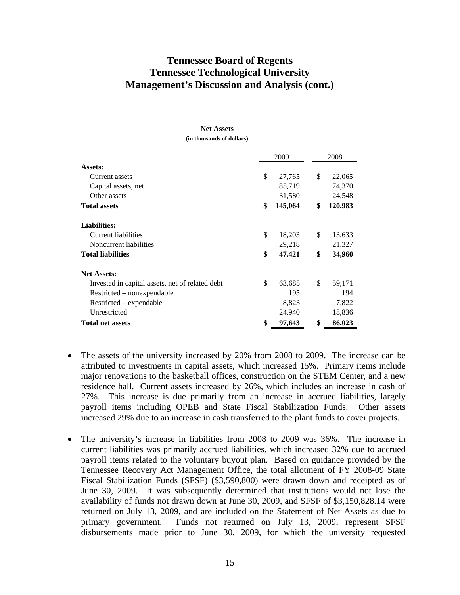# 2009 2008 **Assets:**  Current assets \$ 27,765 \$ 22,065 Capital assets, net 85,719 74,370 Other assets 31,580 24,548 **Total assets \$ 145,064 \$ 120,983 Liabilities:**  Current liabilities \$ 18,203 \$ 13,633 Noncurrent liabilities 29,218 21,327 **Total liabilities \$ 47,421 \$ 34,960 Net Assets:**  Invested in capital assets, net of related debt  $$ 63,685 $ 59,171$ Restricted – nonexpendable 195 194 Restricted – expendable 8,823 7,822 Unrestricted 24,940 18,836 **Total net assets \$ 97,643 \$ 86,023**

## **Net Assets**

**(in thousands of dollars)** 

- The assets of the university increased by 20% from 2008 to 2009. The increase can be attributed to investments in capital assets, which increased 15%. Primary items include major renovations to the basketball offices, construction on the STEM Center, and a new residence hall. Current assets increased by 26%, which includes an increase in cash of 27%. This increase is due primarily from an increase in accrued liabilities, largely payroll items including OPEB and State Fiscal Stabilization Funds. Other assets increased 29% due to an increase in cash transferred to the plant funds to cover projects.
- The university's increase in liabilities from 2008 to 2009 was 36%. The increase in current liabilities was primarily accrued liabilities, which increased 32% due to accrued payroll items related to the voluntary buyout plan. Based on guidance provided by the Tennessee Recovery Act Management Office, the total allotment of FY 2008-09 State Fiscal Stabilization Funds (SFSF) (\$3,590,800) were drawn down and receipted as of June 30, 2009. It was subsequently determined that institutions would not lose the availability of funds not drawn down at June 30, 2009, and SFSF of \$3,150,828.14 were returned on July 13, 2009, and are included on the Statement of Net Assets as due to primary government. Funds not returned on July 13, 2009, represent SFSF disbursements made prior to June 30, 2009, for which the university requested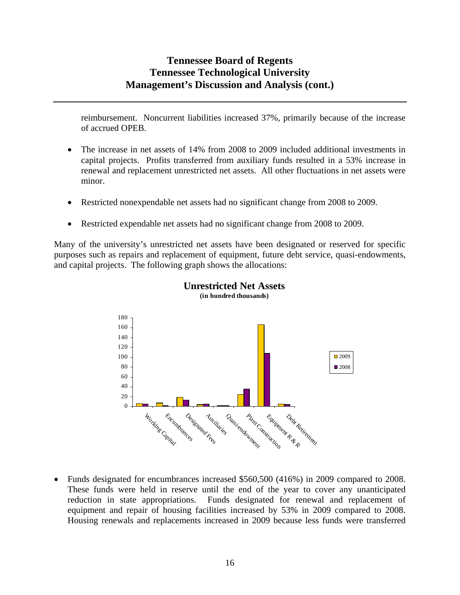reimbursement. Noncurrent liabilities increased 37%, primarily because of the increase of accrued OPEB.

- The increase in net assets of 14% from 2008 to 2009 included additional investments in capital projects. Profits transferred from auxiliary funds resulted in a 53% increase in renewal and replacement unrestricted net assets. All other fluctuations in net assets were minor.
- Restricted nonexpendable net assets had no significant change from 2008 to 2009.
- Restricted expendable net assets had no significant change from 2008 to 2009.

Many of the university's unrestricted net assets have been designated or reserved for specific purposes such as repairs and replacement of equipment, future debt service, quasi-endowments, and capital projects. The following graph shows the allocations:





 Funds designated for encumbrances increased \$560,500 (416%) in 2009 compared to 2008. These funds were held in reserve until the end of the year to cover any unanticipated reduction in state appropriations. Funds designated for renewal and replacement of equipment and repair of housing facilities increased by 53% in 2009 compared to 2008. Housing renewals and replacements increased in 2009 because less funds were transferred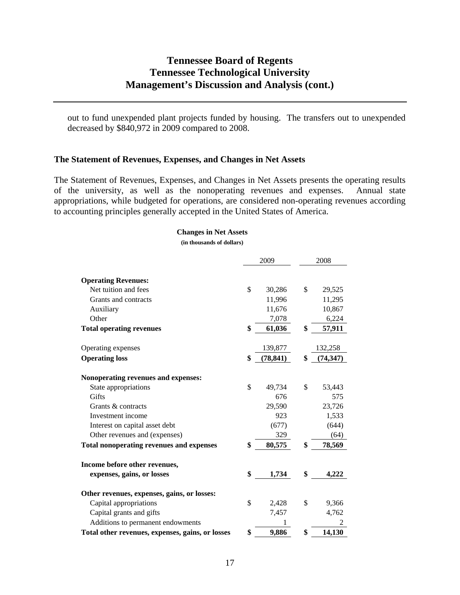out to fund unexpended plant projects funded by housing. The transfers out to unexpended decreased by \$840,972 in 2009 compared to 2008.

#### **The Statement of Revenues, Expenses, and Changes in Net Assets**

The Statement of Revenues, Expenses, and Changes in Net Assets presents the operating results of the university, as well as the nonoperating revenues and expenses. Annual state appropriations, while budgeted for operations, are considered non-operating revenues according to accounting principles generally accepted in the United States of America.

#### **Changes in Net Assets**

**(in thousands of dollars)** 

|                                                  | 2009 |           | 2008            |
|--------------------------------------------------|------|-----------|-----------------|
| <b>Operating Revenues:</b>                       |      |           |                 |
| Net tuition and fees                             | \$   | 30,286    | \$<br>29,525    |
| Grants and contracts                             |      | 11,996    | 11,295          |
| Auxiliary                                        |      | 11,676    | 10,867          |
| Other                                            |      | 7,078     | 6,224           |
| <b>Total operating revenues</b>                  | \$   | 61,036    | \$<br>57,911    |
| Operating expenses                               |      | 139,877   | 132,258         |
| <b>Operating loss</b>                            | \$   | (78, 841) | \$<br>(74, 347) |
|                                                  |      |           |                 |
| Nonoperating revenues and expenses:              |      |           |                 |
| State appropriations                             | \$   | 49,734    | \$<br>53,443    |
| Gifts                                            |      | 676       | 575             |
| Grants & contracts                               |      | 29,590    | 23,726          |
| Investment income                                |      | 923       | 1,533           |
| Interest on capital asset debt                   |      | (677)     | (644)           |
| Other revenues and (expenses)                    |      | 329       | (64)            |
| <b>Total nonoperating revenues and expenses</b>  | \$   | 80,575    | \$<br>78,569    |
| Income before other revenues,                    |      |           |                 |
| expenses, gains, or losses                       | \$   | 1,734     | \$<br>4,222     |
| Other revenues, expenses, gains, or losses:      |      |           |                 |
| Capital appropriations                           | \$   | 2,428     | \$<br>9,366     |
| Capital grants and gifts                         |      | 7,457     | 4,762           |
| Additions to permanent endowments                |      |           |                 |
| Total other revenues, expenses, gains, or losses | \$   | 9,886     | \$<br>14.130    |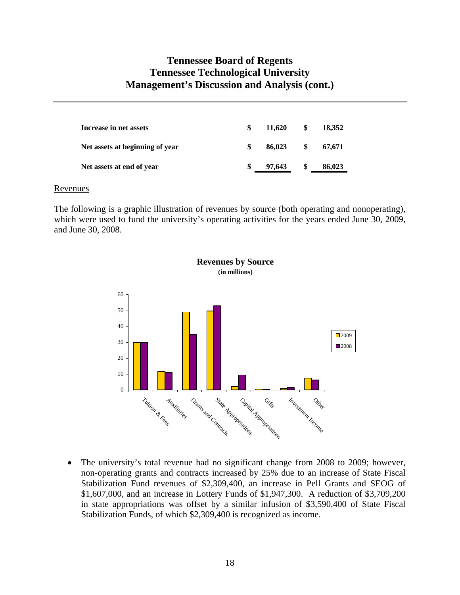| Increase in net assets          | \$<br>11.620  |     | 18,352 |
|---------------------------------|---------------|-----|--------|
| Net assets at beginning of year | \$.<br>86,023 |     | 67.671 |
| Net assets at end of year       | \$<br>97,643  | SS. | 86,023 |

#### Revenues

The following is a graphic illustration of revenues by source (both operating and nonoperating), which were used to fund the university's operating activities for the years ended June 30, 2009, and June 30, 2008.



• The university's total revenue had no significant change from 2008 to 2009; however, non-operating grants and contracts increased by 25% due to an increase of State Fiscal Stabilization Fund revenues of \$2,309,400, an increase in Pell Grants and SEOG of \$1,607,000, and an increase in Lottery Funds of \$1,947,300. A reduction of \$3,709,200 in state appropriations was offset by a similar infusion of \$3,590,400 of State Fiscal Stabilization Funds, of which \$2,309,400 is recognized as income.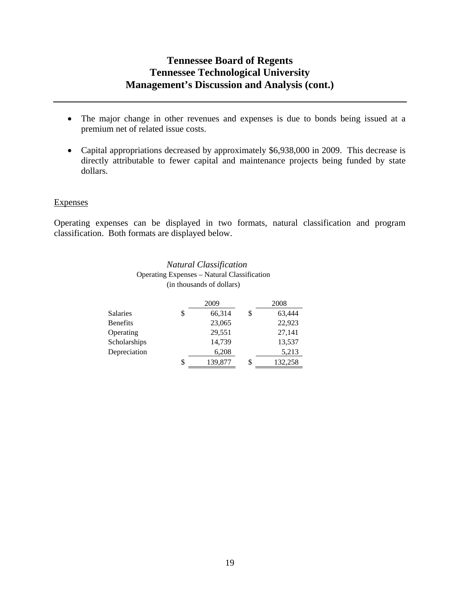- The major change in other revenues and expenses is due to bonds being issued at a premium net of related issue costs.
- Capital appropriations decreased by approximately \$6,938,000 in 2009. This decrease is directly attributable to fewer capital and maintenance projects being funded by state dollars.

## **Expenses**

Operating expenses can be displayed in two formats, natural classification and program classification. Both formats are displayed below.

> *Natural Classification*  Operating Expenses – Natural Classification (in thousands of dollars)

|              | 2009          | 2008          |
|--------------|---------------|---------------|
| Salaries     | \$<br>66,314  | \$<br>63,444  |
| Benefits     | 23,065        | 22,923        |
| Operating    | 29,551        | 27,141        |
| Scholarships | 14,739        | 13,537        |
| Depreciation | 6,208         | 5,213         |
|              | \$<br>139,877 | \$<br>132,258 |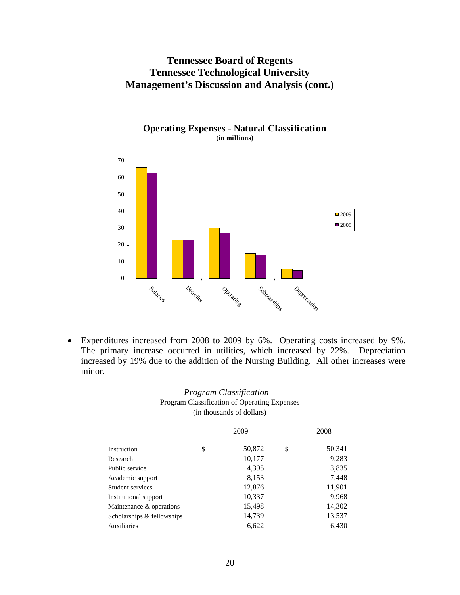

## Expenditures increased from 2008 to 2009 by 6%. Operating costs increased by 9%. The primary increase occurred in utilities, which increased by 22%. Depreciation increased by 19% due to the addition of the Nursing Building. All other increases were minor.

## *Program Classification*  Program Classification of Operating Expenses (in thousands of dollars)

|                            | 2009         | 2008         |  |  |
|----------------------------|--------------|--------------|--|--|
| Instruction                | \$<br>50,872 | \$<br>50,341 |  |  |
| Research                   | 10,177       | 9,283        |  |  |
| Public service             | 4,395        | 3,835        |  |  |
| Academic support           | 8,153        | 7,448        |  |  |
| Student services           | 12,876       | 11,901       |  |  |
| Institutional support      | 10,337       | 9,968        |  |  |
| Maintenance & operations   | 15,498       | 14,302       |  |  |
| Scholarships & fellowships | 14,739       | 13,537       |  |  |
| Auxiliaries                | 6,622        | 6,430        |  |  |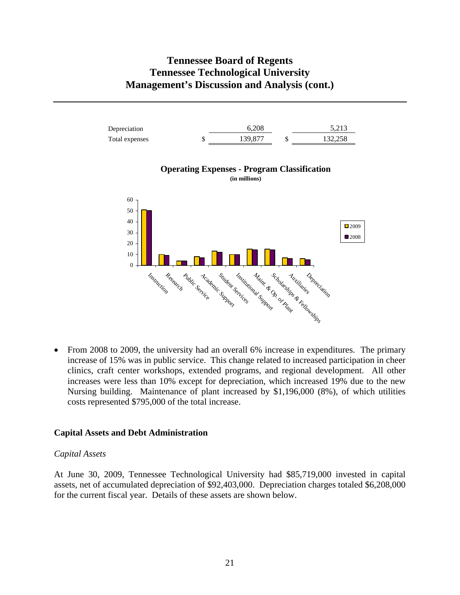

• From 2008 to 2009, the university had an overall 6% increase in expenditures. The primary increase of 15% was in public service. This change related to increased participation in cheer clinics, craft center workshops, extended programs, and regional development. All other increases were less than 10% except for depreciation, which increased 19% due to the new Nursing building. Maintenance of plant increased by \$1,196,000 (8%), of which utilities costs represented \$795,000 of the total increase.

## **Capital Assets and Debt Administration**

#### *Capital Assets*

At June 30, 2009, Tennessee Technological University had \$85,719,000 invested in capital assets, net of accumulated depreciation of \$92,403,000. Depreciation charges totaled \$6,208,000 for the current fiscal year. Details of these assets are shown below.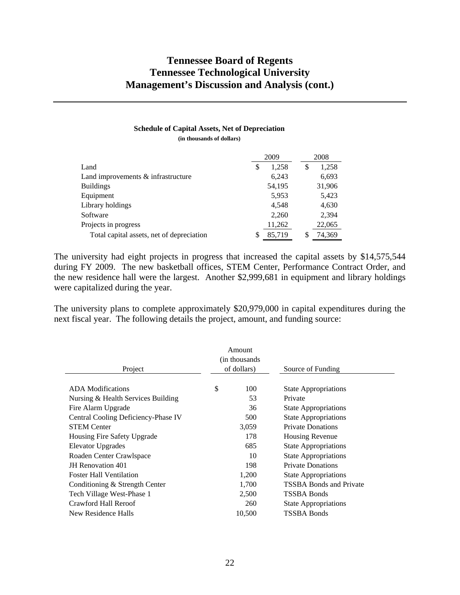# **Schedule of Capital Assets, Net of Depreciation**

**(in thousands of dollars)** 

|                                           |   | 2009   |   | 2008   |
|-------------------------------------------|---|--------|---|--------|
| Land                                      | S | 1,258  | S | 1,258  |
| Land improvements $\&$ infrastructure     |   | 6,243  |   | 6,693  |
| <b>Buildings</b>                          |   | 54,195 |   | 31,906 |
| Equipment                                 |   | 5,953  |   | 5,423  |
| Library holdings                          |   | 4.548  |   | 4,630  |
| Software                                  |   | 2,260  |   | 2,394  |
| Projects in progress                      |   | 11,262 |   | 22,065 |
| Total capital assets, net of depreciation |   | 85,719 |   | 74,369 |

The university had eight projects in progress that increased the capital assets by \$14,575,544 during FY 2009. The new basketball offices, STEM Center, Performance Contract Order, and the new residence hall were the largest. Another \$2,999,681 in equipment and library holdings were capitalized during the year.

The university plans to complete approximately \$20,979,000 in capital expenditures during the next fiscal year. The following details the project, amount, and funding source:

| Project                             | Amount<br>(in thousands)<br>of dollars) | Source of Funding              |
|-------------------------------------|-----------------------------------------|--------------------------------|
| <b>ADA</b> Modifications            | \$<br>100                               | <b>State Appropriations</b>    |
| Nursing & Health Services Building  | 53                                      | Private                        |
| Fire Alarm Upgrade                  | 36                                      | <b>State Appropriations</b>    |
| Central Cooling Deficiency-Phase IV | 500                                     | <b>State Appropriations</b>    |
| <b>STEM Center</b>                  | 3,059                                   | <b>Private Donations</b>       |
| Housing Fire Safety Upgrade         | 178                                     | Housing Revenue                |
| Elevator Upgrades                   | 685                                     | <b>State Appropriations</b>    |
| Roaden Center Crawlspace            | 10                                      | <b>State Appropriations</b>    |
| <b>JH</b> Renovation 401            | 198                                     | <b>Private Donations</b>       |
| <b>Foster Hall Ventilation</b>      | 1,200                                   | <b>State Appropriations</b>    |
| Conditioning & Strength Center      | 1,700                                   | <b>TSSBA Bonds and Private</b> |
| Tech Village West-Phase 1           | 2,500                                   | <b>TSSBA Bonds</b>             |
| Crawford Hall Reroof                | 260                                     | <b>State Appropriations</b>    |
| New Residence Halls                 | 10,500                                  | <b>TSSBA Bonds</b>             |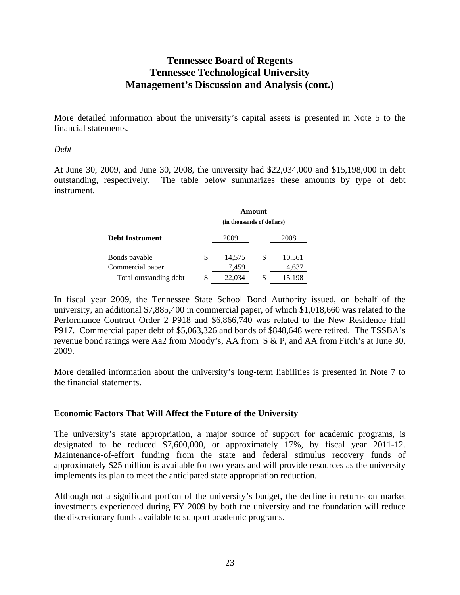More detailed information about the university's capital assets is presented in Note 5 to the financial statements.

## *Debt*

At June 30, 2009, and June 30, 2008, the university had \$22,034,000 and \$15,198,000 in debt outstanding, respectively. The table below summarizes these amounts by type of debt instrument.

|                        | Amount                    |        |    |        |
|------------------------|---------------------------|--------|----|--------|
|                        | (in thousands of dollars) |        |    |        |
| <b>Debt Instrument</b> |                           | 2009   |    | 2008   |
| Bonds payable          | S                         | 14.575 | S  | 10,561 |
| Commercial paper       |                           | 7,459  |    | 4,637  |
| Total outstanding debt |                           | 22,034 | \$ | 15,198 |

In fiscal year 2009, the Tennessee State School Bond Authority issued, on behalf of the university, an additional \$7,885,400 in commercial paper, of which \$1,018,660 was related to the Performance Contract Order 2 P918 and \$6,866,740 was related to the New Residence Hall P917. Commercial paper debt of \$5,063,326 and bonds of \$848,648 were retired. The TSSBA's revenue bond ratings were Aa2 from Moody's, AA from S & P, and AA from Fitch's at June 30, 2009.

More detailed information about the university's long-term liabilities is presented in Note 7 to the financial statements.

## **Economic Factors That Will Affect the Future of the University**

The university's state appropriation, a major source of support for academic programs, is designated to be reduced \$7,600,000, or approximately 17%, by fiscal year 2011-12. Maintenance-of-effort funding from the state and federal stimulus recovery funds of approximately \$25 million is available for two years and will provide resources as the university implements its plan to meet the anticipated state appropriation reduction.

Although not a significant portion of the university's budget, the decline in returns on market investments experienced during FY 2009 by both the university and the foundation will reduce the discretionary funds available to support academic programs.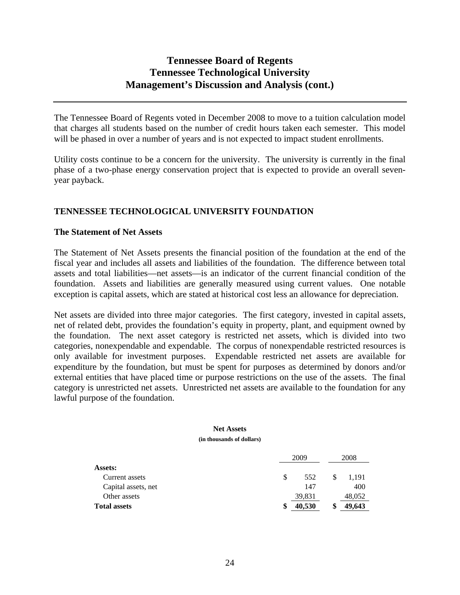The Tennessee Board of Regents voted in December 2008 to move to a tuition calculation model that charges all students based on the number of credit hours taken each semester. This model will be phased in over a number of years and is not expected to impact student enrollments.

Utility costs continue to be a concern for the university. The university is currently in the final phase of a two-phase energy conservation project that is expected to provide an overall sevenyear payback.

## **TENNESSEE TECHNOLOGICAL UNIVERSITY FOUNDATION**

## **The Statement of Net Assets**

The Statement of Net Assets presents the financial position of the foundation at the end of the fiscal year and includes all assets and liabilities of the foundation. The difference between total assets and total liabilities—net assets—is an indicator of the current financial condition of the foundation. Assets and liabilities are generally measured using current values. One notable exception is capital assets, which are stated at historical cost less an allowance for depreciation.

Net assets are divided into three major categories. The first category, invested in capital assets, net of related debt, provides the foundation's equity in property, plant, and equipment owned by the foundation. The next asset category is restricted net assets, which is divided into two categories, nonexpendable and expendable. The corpus of nonexpendable restricted resources is only available for investment purposes. Expendable restricted net assets are available for expenditure by the foundation, but must be spent for purposes as determined by donors and/or external entities that have placed time or purpose restrictions on the use of the assets. The final category is unrestricted net assets. Unrestricted net assets are available to the foundation for any lawful purpose of the foundation.

#### **Net Assets (in thousands of dollars)**

|                     | 2009 |        | 2008 |        |
|---------------------|------|--------|------|--------|
| <b>Assets:</b>      |      |        |      |        |
| Current assets      | S    | 552    |      | 1.191  |
| Capital assets, net |      | 147    |      | 400    |
| Other assets        |      | 39,831 |      | 48,052 |
| <b>Total assets</b> | S    | 40,530 |      | 49,643 |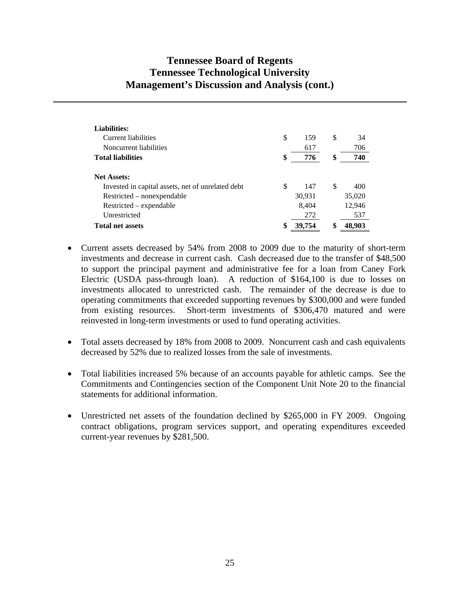| <b>Liabilities:</b>                               |              |              |
|---------------------------------------------------|--------------|--------------|
| Current liabilities                               | \$<br>159    | \$<br>34     |
| Noncurrent liabilities                            | 617          | 706          |
| <b>Total liabilities</b>                          | \$<br>776    | \$<br>740    |
| <b>Net Assets:</b>                                |              |              |
| Invested in capital assets, net of unrelated debt | \$<br>147    | \$<br>400    |
| Restricted – nonexpendable                        | 30,931       | 35,020       |
| Restricted – expendable                           | 8,404        | 12,946       |
| Unrestricted                                      | 272          | 537          |
| <b>Total net assets</b>                           | \$<br>39,754 | \$<br>48,903 |

- Current assets decreased by 54% from 2008 to 2009 due to the maturity of short-term investments and decrease in current cash. Cash decreased due to the transfer of \$48,500 to support the principal payment and administrative fee for a loan from Caney Fork Electric (USDA pass-through loan). A reduction of \$164,100 is due to losses on investments allocated to unrestricted cash. The remainder of the decrease is due to operating commitments that exceeded supporting revenues by \$300,000 and were funded from existing resources. Short-term investments of \$306,470 matured and were reinvested in long-term investments or used to fund operating activities.
- Total assets decreased by 18% from 2008 to 2009. Noncurrent cash and cash equivalents decreased by 52% due to realized losses from the sale of investments.
- Total liabilities increased 5% because of an accounts payable for athletic camps. See the Commitments and Contingencies section of the Component Unit Note 20 to the financial statements for additional information.
- Unrestricted net assets of the foundation declined by \$265,000 in FY 2009. Ongoing contract obligations, program services support, and operating expenditures exceeded current-year revenues by \$281,500.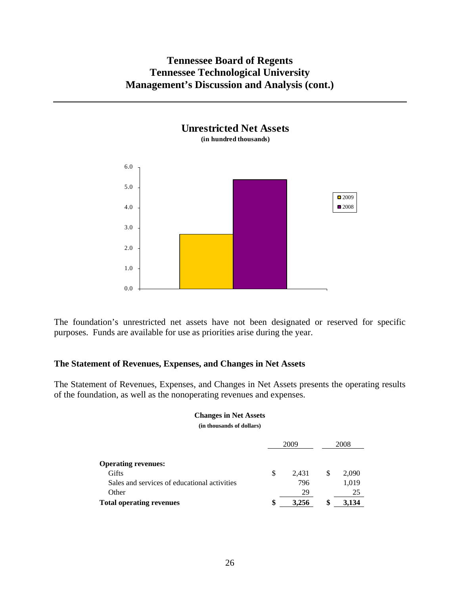**Unrestricted Net Assets**



The foundation's unrestricted net assets have not been designated or reserved for specific purposes. Funds are available for use as priorities arise during the year.

## **The Statement of Revenues, Expenses, and Changes in Net Assets**

The Statement of Revenues, Expenses, and Changes in Net Assets presents the operating results of the foundation, as well as the nonoperating revenues and expenses.

#### **Changes in Net Assets**

**(in thousands of dollars)** 

|                                              |   | 2009  |  | 2008  |
|----------------------------------------------|---|-------|--|-------|
| <b>Operating revenues:</b>                   |   |       |  |       |
| Gifts                                        | S | 2.431 |  | 2,090 |
| Sales and services of educational activities |   | 796   |  | 1,019 |
| Other                                        |   | 29    |  | 25    |
| <b>Total operating revenues</b>              | S | 3.256 |  | 3.134 |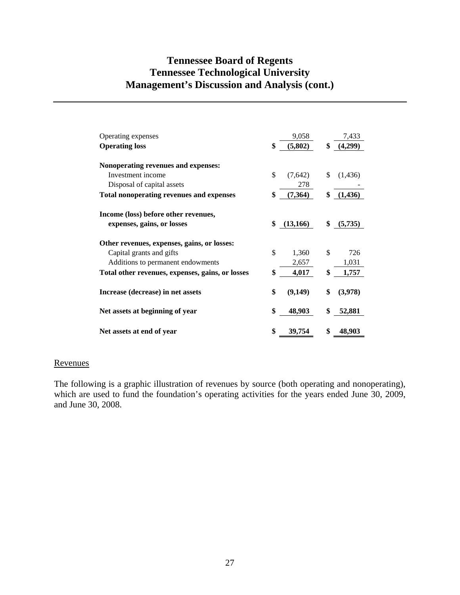| Operating expenses                               | 9,058          |    | 7,433   |
|--------------------------------------------------|----------------|----|---------|
| <b>Operating loss</b>                            | \$<br>(5,802)  | \$ | (4,299) |
|                                                  |                |    |         |
| Nonoperating revenues and expenses:              |                |    |         |
| Investment income                                | \$<br>(7,642)  | S  | (1,436) |
| Disposal of capital assets                       | 278            |    |         |
| <b>Total nonoperating revenues and expenses</b>  | \$<br>(7,364)  | \$ | (1,436) |
|                                                  |                |    |         |
| Income (loss) before other revenues,             |                |    |         |
| expenses, gains, or losses                       | \$<br>(13,166) | \$ | (5,735) |
|                                                  |                |    |         |
| Other revenues, expenses, gains, or losses:      |                |    |         |
| Capital grants and gifts                         | \$<br>1,360    | \$ | 726     |
| Additions to permanent endowments                | 2,657          |    | 1,031   |
| Total other revenues, expenses, gains, or losses | \$<br>4,017    | \$ | 1,757   |
|                                                  |                |    |         |
| Increase (decrease) in net assets                | \$<br>(9,149)  | \$ | (3,978) |
|                                                  |                |    |         |
| Net assets at beginning of year                  | \$<br>48,903   |    | 52,881  |
|                                                  |                |    |         |
| Net assets at end of year                        | \$<br>39,754   | \$ | 48,903  |

## Revenues

The following is a graphic illustration of revenues by source (both operating and nonoperating), which are used to fund the foundation's operating activities for the years ended June 30, 2009, and June 30, 2008.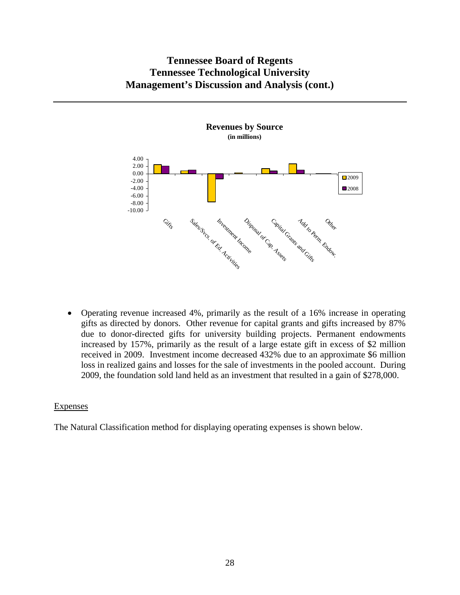

 Operating revenue increased 4%, primarily as the result of a 16% increase in operating gifts as directed by donors. Other revenue for capital grants and gifts increased by 87% due to donor-directed gifts for university building projects. Permanent endowments increased by 157%, primarily as the result of a large estate gift in excess of \$2 million received in 2009. Investment income decreased 432% due to an approximate \$6 million loss in realized gains and losses for the sale of investments in the pooled account. During 2009, the foundation sold land held as an investment that resulted in a gain of \$278,000.

## Expenses

The Natural Classification method for displaying operating expenses is shown below.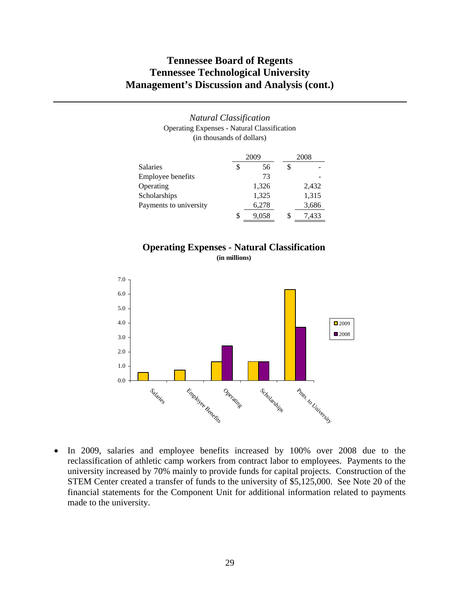#### *Natural Classification*  Operating Expenses - Natural Classification (in thousands of dollars)

|                        | 2009        |   | 2008  |  |
|------------------------|-------------|---|-------|--|
| <b>Salaries</b>        | \$<br>56    | S |       |  |
| Employee benefits      | 73          |   |       |  |
| Operating              | 1,326       |   | 2,432 |  |
| Scholarships           | 1,325       |   | 1,315 |  |
| Payments to university | 6,278       |   | 3,686 |  |
|                        | \$<br>9,058 | S | 7.433 |  |
|                        |             |   |       |  |

## **Operating Expenses - Natural Classification (in millions)**



• In 2009, salaries and employee benefits increased by 100% over 2008 due to the reclassification of athletic camp workers from contract labor to employees. Payments to the university increased by 70% mainly to provide funds for capital projects. Construction of the STEM Center created a transfer of funds to the university of \$5,125,000. See Note 20 of the financial statements for the Component Unit for additional information related to payments made to the university.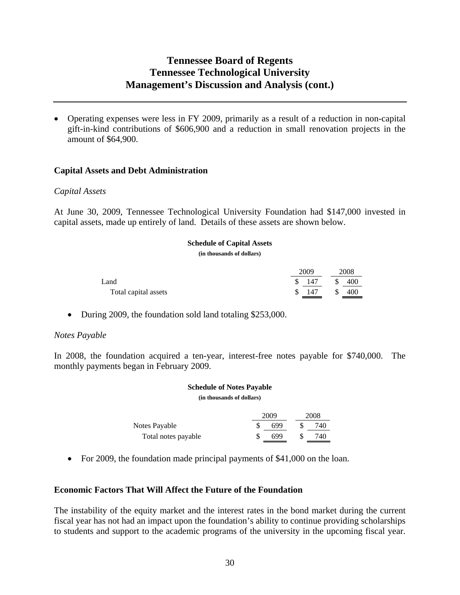Operating expenses were less in FY 2009, primarily as a result of a reduction in non-capital gift-in-kind contributions of \$606,900 and a reduction in small renovation projects in the amount of \$64,900.

## **Capital Assets and Debt Administration**

### *Capital Assets*

At June 30, 2009, Tennessee Technological University Foundation had \$147,000 invested in capital assets, made up entirely of land. Details of these assets are shown below.

#### **Schedule of Capital Assets**

**(in thousands of dollars)** 

|                      | 2009 | 2008 |
|----------------------|------|------|
| Land                 | 147  | 400  |
| Total capital assets | 147  | 400  |

• During 2009, the foundation sold land totaling \$253,000.

## *Notes Payable*

In 2008, the foundation acquired a ten-year, interest-free notes payable for \$740,000. The monthly payments began in February 2009.

#### **Schedule of Notes Payable (in thousands of dollars)**

2009 2008 Notes Payable  $\$$  699  $\$$  740 Total notes payable  $\$$  699  $\$$  740

• For 2009, the foundation made principal payments of \$41,000 on the loan.

## **Economic Factors That Will Affect the Future of the Foundation**

The instability of the equity market and the interest rates in the bond market during the current fiscal year has not had an impact upon the foundation's ability to continue providing scholarships to students and support to the academic programs of the university in the upcoming fiscal year.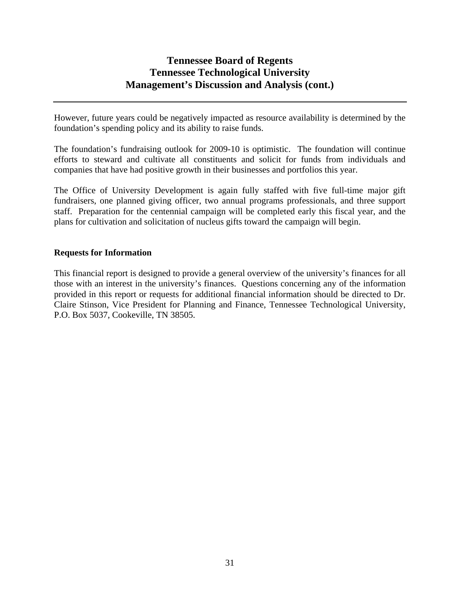However, future years could be negatively impacted as resource availability is determined by the foundation's spending policy and its ability to raise funds.

The foundation's fundraising outlook for 2009-10 is optimistic. The foundation will continue efforts to steward and cultivate all constituents and solicit for funds from individuals and companies that have had positive growth in their businesses and portfolios this year.

The Office of University Development is again fully staffed with five full-time major gift fundraisers, one planned giving officer, two annual programs professionals, and three support staff. Preparation for the centennial campaign will be completed early this fiscal year, and the plans for cultivation and solicitation of nucleus gifts toward the campaign will begin.

## **Requests for Information**

This financial report is designed to provide a general overview of the university's finances for all those with an interest in the university's finances. Questions concerning any of the information provided in this report or requests for additional financial information should be directed to Dr. Claire Stinson, Vice President for Planning and Finance, Tennessee Technological University, P.O. Box 5037, Cookeville, TN 38505.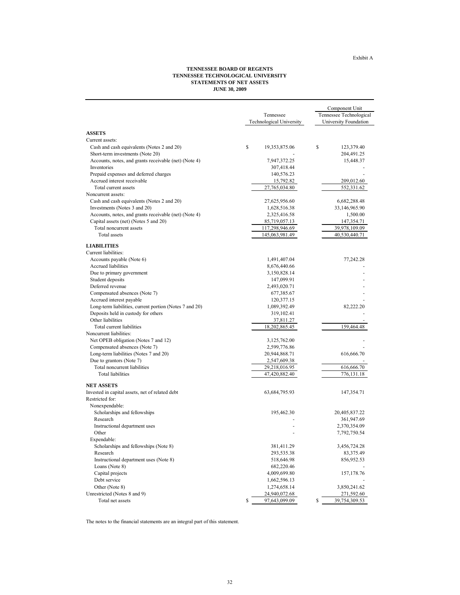Exhibit A

The notes to the financial statements are an integral part of this statement.

|                                                                  |                                 | Component Unit          |
|------------------------------------------------------------------|---------------------------------|-------------------------|
|                                                                  | Tennessee                       | Tennessee Technological |
|                                                                  | <b>Technological University</b> | University Foundation   |
| <b>ASSETS</b>                                                    |                                 |                         |
| Current assets:                                                  |                                 |                         |
| Cash and cash equivalents (Notes 2 and 20)                       | \$<br>19,353,875.06             | \$<br>123,379.40        |
| Short-term investments (Note 20)                                 |                                 | 204,491.25              |
| Accounts, notes, and grants receivable (net) (Note 4)            | 7,947,372.25                    | 15,448.37               |
| Inventories                                                      | 307,418.44                      |                         |
| Prepaid expenses and deferred charges                            | 140,576.23                      |                         |
| Accrued interest receivable                                      | 15,792.82                       | 209,012.60              |
| Total current assets                                             | 27,765,034.80                   | 552,331.62              |
| Noncurrent assets:                                               |                                 |                         |
| Cash and cash equivalents (Notes 2 and 20)                       | 27,625,956.60                   | 6,682,288.48            |
| Investments (Notes 3 and 20)                                     | 1,628,516.38                    | 33,146,965.90           |
| Accounts, notes, and grants receivable (net) (Note 4)            | 2,325,416.58                    | 1,500.00                |
|                                                                  |                                 |                         |
| Capital assets (net) (Notes 5 and 20)<br>Total noncurrent assets | 85,719,057.13<br>117,298,946.69 | 147,354.71              |
|                                                                  |                                 | 39,978,109.09           |
| Total assets                                                     | 145,063,981.49                  | 40,530,440.71           |
| <b>LIABILITIES</b>                                               |                                 |                         |
| Current liabilities:                                             |                                 |                         |
| Accounts payable (Note 6)                                        | 1,491,407.04                    | 77,242.28               |
| <b>Accrued liabilities</b>                                       | 8,676,440.66                    |                         |
| Due to primary government                                        | 3,150,828.14                    |                         |
| Student deposits                                                 | 147,099.91                      |                         |
| Deferred revenue                                                 | 2,493,020.71                    |                         |
| Compensated absences (Note 7)                                    | 677,385.67                      |                         |
| Accrued interest payable                                         | 120,377.15                      |                         |
| Long-term liabilities, current portion (Notes 7 and 20)          | 1,089,392.49                    | 82,222.20               |
| Deposits held in custody for others                              | 319,102.41                      |                         |
| Other liabilities                                                | 37,811.27                       |                         |
| Total current liabilities                                        | 18,202,865.45                   | 159,464.48              |
| Noncurrent liabilities:                                          |                                 |                         |
| Net OPEB obligation (Notes 7 and 12)                             | 3,125,762.00                    |                         |
| Compensated absences (Note 7)                                    | 2,599,776.86                    |                         |
| Long-term liabilities (Notes 7 and 20)                           | 20,944,868.71                   | 616,666.70              |
| Due to grantors (Note 7)                                         | 2,547,609.38                    |                         |
| Total noncurrent liabilities                                     | 29,218,016.95                   | 616,666.70              |
| <b>Total liabilities</b>                                         | 47,420,882.40                   | 776,131.18              |
| <b>NET ASSETS</b>                                                |                                 |                         |
| Invested in capital assets, net of related debt                  | 63,684,795.93                   | 147,354.71              |
| Restricted for:                                                  |                                 |                         |
| Nonexpendable:                                                   |                                 |                         |
| Scholarships and fellowships                                     | 195,462.30                      | 20,405,837.22           |
| Research                                                         |                                 | 361,947.69              |
| Instructional department uses                                    |                                 | 2,370,354.09            |
| Other                                                            |                                 | 7,792,750.54            |
| Expendable:                                                      |                                 |                         |
| Scholarships and fellowships (Note 8)                            | 381,411.29                      | 3,456,724.28            |
| Research                                                         | 293,535.38                      | 83,375.49               |
| Instructional department uses (Note 8)                           | 518,646.98                      | 856,952.53              |
|                                                                  | 682,220.46                      |                         |
| Loans (Note 8)                                                   |                                 |                         |
| Capital projects                                                 | 4,009,699.80                    | 157,178.76              |
| Debt service                                                     | 1,662,596.13                    |                         |
| Other (Note 8)                                                   | 1,274,658.14                    | 3,850,241.62            |
| Unrestricted (Notes 8 and 9)                                     | 24,940,072.68                   | 271,592.60              |
| Total net assets                                                 | \$<br>97,643,099.09             | \$<br>39,754,309.53     |

# **TENNESSEE BOARD OF REGENTS TENNESSEE TECHNOLOGICAL UNIVERSITY STATEMENTS OF NET ASSETS JUNE 30, 2009**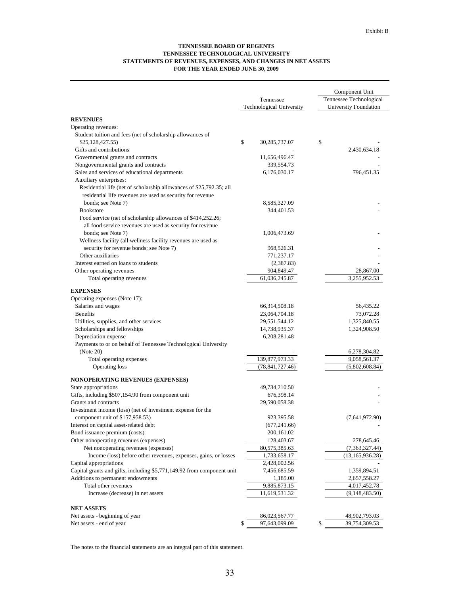#### **TENNESSEE BOARD OF REGENTS TENNESSEE TECHNOLOGICAL UNIVERSITY STATEMENTS OF REVENUES, EXPENSES, AND CHANGES IN NET ASSETS FOR THE YEAR ENDED JUNE 30, 2009**

|                                                                        |                          | Component Unit          |
|------------------------------------------------------------------------|--------------------------|-------------------------|
|                                                                        | Tennessee                | Tennessee Technological |
|                                                                        | Technological University | University Foundation   |
|                                                                        |                          |                         |
| <b>REVENUES</b>                                                        |                          |                         |
| Operating revenues:                                                    |                          |                         |
| Student tuition and fees (net of scholarship allowances of             |                          |                         |
| \$25,128,427.55)                                                       | \$<br>30, 285, 737.07    | \$                      |
| Gifts and contributions                                                |                          | 2,430,634.18            |
| Governmental grants and contracts                                      | 11,656,496.47            |                         |
| Nongovernmental grants and contracts                                   | 339,554.73               |                         |
| Sales and services of educational departments                          | 6,176,030.17             | 796,451.35              |
| Auxiliary enterprises:                                                 |                          |                         |
| Residential life (net of scholarship allowances of \$25,792.35; all    |                          |                         |
| residential life revenues are used as security for revenue             |                          |                         |
| bonds; see Note 7)                                                     | 8,585,327.09             |                         |
| <b>Bookstore</b>                                                       | 344,401.53               |                         |
| Food service (net of scholarship allowances of \$414,252.26;           |                          |                         |
| all food service revenues are used as security for revenue             |                          |                         |
| bonds; see Note 7)                                                     | 1,006,473.69             |                         |
| Wellness facility (all wellness facility revenues are used as          |                          |                         |
| security for revenue bonds; see Note 7)                                | 968,526.31               |                         |
| Other auxiliaries                                                      | 771,237.17               |                         |
| Interest earned on loans to students                                   | (2,387.83)               |                         |
| Other operating revenues                                               | 904,849.47               | 28,867.00               |
|                                                                        | 61,036,245.87            | 3,255,952.53            |
| Total operating revenues                                               |                          |                         |
| <b>EXPENSES</b>                                                        |                          |                         |
| Operating expenses (Note 17):                                          |                          |                         |
| Salaries and wages                                                     | 66, 314, 508. 18         | 56,435.22               |
| <b>Benefits</b>                                                        | 23,064,704.18            | 73,072.28               |
| Utilities, supplies, and other services                                | 29,551,544.12            | 1,325,840.55            |
| Scholarships and fellowships                                           | 14,738,935.37            | 1,324,908.50            |
| Depreciation expense                                                   | 6, 208, 281. 48          |                         |
| Payments to or on behalf of Tennessee Technological University         |                          |                         |
| (Note 20)                                                              |                          | 6,278,304.82            |
| Total operating expenses                                               | 139,877,973.33           | 9,058,561.37            |
| Operating loss                                                         | (78, 841, 727.46)        | (5,802,608.84)          |
|                                                                        |                          |                         |
| NONOPERATING REVENUES (EXPENSES)                                       |                          |                         |
| State appropriations                                                   | 49,734,210.50            |                         |
| Gifts, including \$507,154.90 from component unit                      | 676,398.14               |                         |
| Grants and contracts                                                   | 29,590,058.38            |                         |
| Investment income (loss) (net of investment expense for the            |                          |                         |
| component unit of \$157,958.53)                                        | 923, 395.58              | (7,641,972.90)          |
| Interest on capital asset-related debt                                 | (677,241.66)             |                         |
| Bond issuance premium (costs)                                          | 200, 161.02              |                         |
| Other nonoperating revenues (expenses)                                 | 128,403.67               | 278,645.46              |
| Net nonoperating revenues (expenses)                                   | 80,575,385.63            | (7,363,327.44)          |
| Income (loss) before other revenues, expenses, gains, or losses        | 1,733,658.17             | (13, 165, 936.28)       |
| Capital appropriations                                                 | 2,428,002.56             |                         |
| Capital grants and gifts, including \$5,771,149.92 from component unit | 7,456,685.59             | 1,359,894.51            |
| Additions to permanent endowments                                      | 1,185.00                 |                         |
| Total other revenues                                                   |                          | 2,657,558.27            |
|                                                                        | 9,885,873.15             | 4,017,452.78            |
| Increase (decrease) in net assets                                      | 11,619,531.32            | (9,148,483.50)          |
| <b>NET ASSETS</b>                                                      |                          |                         |
| Net assets - beginning of year                                         | 86,023,567.77            | 48,902,793.03           |
| Net assets - end of year                                               | \$<br>97,643,099.09      | \$<br>39,754,309.53     |
|                                                                        |                          |                         |

The notes to the financial statements are an integral part of this statement.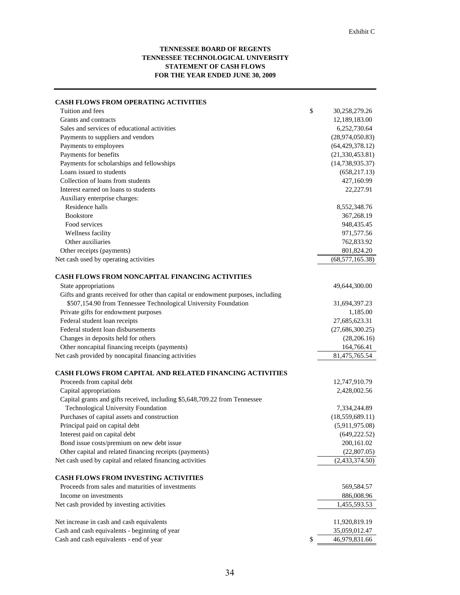#### **TENNESSEE BOARD OF REGENTS TENNESSEE TECHNOLOGICAL UNIVERSITY STATEMENT OF CASH FLOWS FOR THE YEAR ENDED JUNE 30, 2009**

| <b>CASH FLOWS FROM OPERATING ACTIVITIES</b>                                       |                     |
|-----------------------------------------------------------------------------------|---------------------|
| Tuition and fees                                                                  | \$<br>30,258,279.26 |
| Grants and contracts                                                              | 12,189,183.00       |
| Sales and services of educational activities                                      | 6,252,730.64        |
| Payments to suppliers and vendors                                                 | (28,974,050.83)     |
| Payments to employees                                                             | (64, 429, 378.12)   |
| Payments for benefits                                                             | (21, 330, 453.81)   |
| Payments for scholarships and fellowships                                         | (14, 738, 935.37)   |
| Loans issued to students                                                          | (658, 217.13)       |
| Collection of loans from students                                                 | 427,160.99          |
| Interest earned on loans to students                                              | 22,227.91           |
| Auxiliary enterprise charges:                                                     |                     |
| Residence halls                                                                   | 8,552,348.76        |
| <b>Bookstore</b>                                                                  | 367,268.19          |
| Food services                                                                     | 948,435.45          |
| Wellness facility                                                                 | 971,577.56          |
| Other auxiliaries                                                                 | 762,833.92          |
| Other receipts (payments)                                                         | 801,824.20          |
| Net cash used by operating activities                                             | (68, 577, 165.38)   |
| <b>CASH FLOWS FROM NONCAPITAL FINANCING ACTIVITIES</b>                            |                     |
| State appropriations                                                              | 49,644,300.00       |
| Gifts and grants received for other than capital or endowment purposes, including |                     |
| \$507,154.90 from Tennessee Technological University Foundation                   | 31,694,397.23       |
| Private gifts for endowment purposes                                              | 1,185.00            |
| Federal student loan receipts                                                     | 27,685,623.31       |
| Federal student loan disbursements                                                | (27,686,300.25)     |
| Changes in deposits held for others                                               | (28, 206.16)        |
| Other noncapital financing receipts (payments)                                    | 164,766.41          |
| Net cash provided by noncapital financing activities                              | 81,475,765.54       |
| <b>CASH FLOWS FROM CAPITAL AND RELATED FINANCING ACTIVITIES</b>                   |                     |
| Proceeds from capital debt                                                        | 12,747,910.79       |
| Capital appropriations                                                            | 2,428,002.56        |
| Capital grants and gifts received, including \$5,648,709.22 from Tennessee        |                     |
| Technological University Foundation                                               | 7,334,244.89        |
| Purchases of capital assets and construction                                      | (18, 559, 689.11)   |
| Principal paid on capital debt                                                    | (5,911,975.08)      |
| Interest paid on capital debt                                                     | (649, 222.52)       |
| Bond issue costs/premium on new debt issue                                        | 200,161.02          |
| Other capital and related financing receipts (payments)                           | (22,807.05)         |
| Net cash used by capital and related financing activities                         | (2,433,374.50)      |
| CASH FLOWS FROM INVESTING ACTIVITIES                                              |                     |
| Proceeds from sales and maturities of investments                                 | 569,584.57          |
| Income on investments                                                             | 886,008.96          |
| Net cash provided by investing activities                                         | 1,455,593.53        |
|                                                                                   |                     |
| Net increase in cash and cash equivalents                                         | 11,920,819.19       |
| Cash and cash equivalents - beginning of year                                     | 35,059,012.47       |
| Cash and cash equivalents - end of year                                           | \$<br>46,979,831.66 |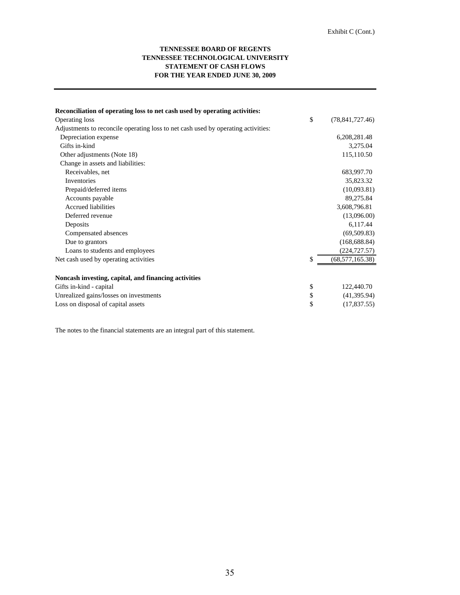#### **STATEMENT OF CASH FLOWS FOR THE YEAR ENDED JUNE 30, 2009 TENNESSEE BOARD OF REGENTS TENNESSEE TECHNOLOGICAL UNIVERSITY**

| Reconciliation of operating loss to net cash used by operating activities:        |                         |
|-----------------------------------------------------------------------------------|-------------------------|
| Operating loss                                                                    | \$<br>(78, 841, 727.46) |
| Adjustments to reconcile operating loss to net cash used by operating activities: |                         |
| Depreciation expense                                                              | 6,208,281.48            |
| Gifts in-kind                                                                     | 3,275.04                |
| Other adjustments (Note 18)                                                       | 115,110.50              |
| Change in assets and liabilities:                                                 |                         |
| Receivables, net                                                                  | 683,997.70              |
| Inventories                                                                       | 35,823.32               |
| Prepaid/deferred items                                                            | (10,093.81)             |
| Accounts payable                                                                  | 89,275.84               |
| <b>Accrued liabilities</b>                                                        | 3,608,796.81            |
| Deferred revenue                                                                  | (13,096.00)             |
| Deposits                                                                          | 6,117.44                |
| Compensated absences                                                              | (69, 509.83)            |
| Due to grantors                                                                   | (168, 688.84)           |
| Loans to students and employees                                                   | (224, 727.57)           |
| Net cash used by operating activities                                             | \$<br>(68, 577, 165.38) |
| Noncash investing, capital, and financing activities                              |                         |
| Gifts in-kind - capital                                                           | \$<br>122,440.70        |
| Unrealized gains/losses on investments                                            | \$<br>(41,395.94)       |
| Loss on disposal of capital assets                                                | \$<br>(17,837.55)       |

The notes to the financial statements are an integral part of this statement.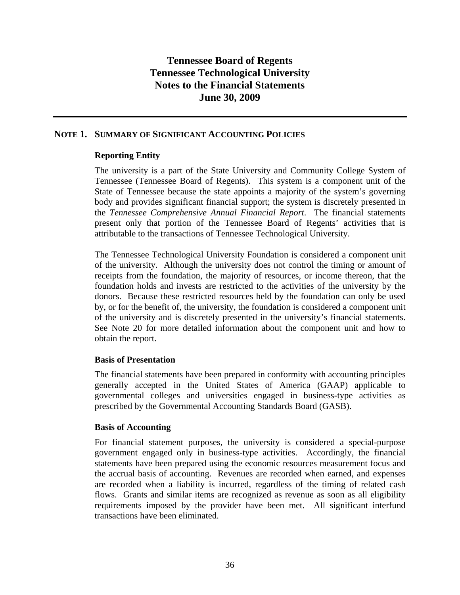## **NOTE 1. SUMMARY OF SIGNIFICANT ACCOUNTING POLICIES**

## **Reporting Entity**

The university is a part of the State University and Community College System of Tennessee (Tennessee Board of Regents). This system is a component unit of the State of Tennessee because the state appoints a majority of the system's governing body and provides significant financial support; the system is discretely presented in the *Tennessee Comprehensive Annual Financial Report*. The financial statements present only that portion of the Tennessee Board of Regents' activities that is attributable to the transactions of Tennessee Technological University.

The Tennessee Technological University Foundation is considered a component unit of the university. Although the university does not control the timing or amount of receipts from the foundation, the majority of resources, or income thereon, that the foundation holds and invests are restricted to the activities of the university by the donors. Because these restricted resources held by the foundation can only be used by, or for the benefit of, the university, the foundation is considered a component unit of the university and is discretely presented in the university's financial statements. See Note 20 for more detailed information about the component unit and how to obtain the report.

## **Basis of Presentation**

The financial statements have been prepared in conformity with accounting principles generally accepted in the United States of America (GAAP) applicable to governmental colleges and universities engaged in business-type activities as prescribed by the Governmental Accounting Standards Board (GASB).

## **Basis of Accounting**

For financial statement purposes, the university is considered a special-purpose government engaged only in business-type activities. Accordingly, the financial statements have been prepared using the economic resources measurement focus and the accrual basis of accounting. Revenues are recorded when earned, and expenses are recorded when a liability is incurred, regardless of the timing of related cash flows. Grants and similar items are recognized as revenue as soon as all eligibility requirements imposed by the provider have been met. All significant interfund transactions have been eliminated.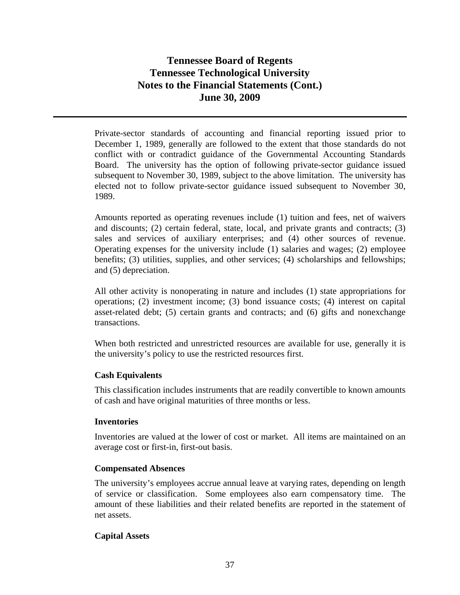Private-sector standards of accounting and financial reporting issued prior to December 1, 1989, generally are followed to the extent that those standards do not conflict with or contradict guidance of the Governmental Accounting Standards Board. The university has the option of following private-sector guidance issued subsequent to November 30, 1989, subject to the above limitation. The university has elected not to follow private-sector guidance issued subsequent to November 30, 1989.

Amounts reported as operating revenues include (1) tuition and fees, net of waivers and discounts; (2) certain federal, state, local, and private grants and contracts; (3) sales and services of auxiliary enterprises; and (4) other sources of revenue. Operating expenses for the university include (1) salaries and wages; (2) employee benefits; (3) utilities, supplies, and other services; (4) scholarships and fellowships; and (5) depreciation.

All other activity is nonoperating in nature and includes (1) state appropriations for operations; (2) investment income; (3) bond issuance costs; (4) interest on capital asset-related debt; (5) certain grants and contracts; and (6) gifts and nonexchange transactions.

When both restricted and unrestricted resources are available for use, generally it is the university's policy to use the restricted resources first.

## **Cash Equivalents**

This classification includes instruments that are readily convertible to known amounts of cash and have original maturities of three months or less.

## **Inventories**

Inventories are valued at the lower of cost or market. All items are maintained on an average cost or first-in, first-out basis.

## **Compensated Absences**

The university's employees accrue annual leave at varying rates, depending on length of service or classification. Some employees also earn compensatory time. The amount of these liabilities and their related benefits are reported in the statement of net assets.

## **Capital Assets**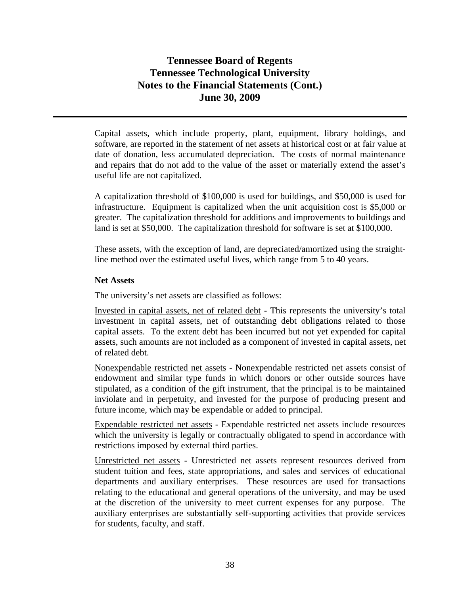Capital assets, which include property, plant, equipment, library holdings, and software, are reported in the statement of net assets at historical cost or at fair value at date of donation, less accumulated depreciation. The costs of normal maintenance and repairs that do not add to the value of the asset or materially extend the asset's useful life are not capitalized.

A capitalization threshold of \$100,000 is used for buildings, and \$50,000 is used for infrastructure. Equipment is capitalized when the unit acquisition cost is \$5,000 or greater. The capitalization threshold for additions and improvements to buildings and land is set at \$50,000. The capitalization threshold for software is set at \$100,000.

These assets, with the exception of land, are depreciated/amortized using the straightline method over the estimated useful lives, which range from 5 to 40 years.

### **Net Assets**

The university's net assets are classified as follows:

Invested in capital assets, net of related debt - This represents the university's total investment in capital assets, net of outstanding debt obligations related to those capital assets. To the extent debt has been incurred but not yet expended for capital assets, such amounts are not included as a component of invested in capital assets, net of related debt.

Nonexpendable restricted net assets - Nonexpendable restricted net assets consist of endowment and similar type funds in which donors or other outside sources have stipulated, as a condition of the gift instrument, that the principal is to be maintained inviolate and in perpetuity, and invested for the purpose of producing present and future income, which may be expendable or added to principal.

Expendable restricted net assets - Expendable restricted net assets include resources which the university is legally or contractually obligated to spend in accordance with restrictions imposed by external third parties.

Unrestricted net assets - Unrestricted net assets represent resources derived from student tuition and fees, state appropriations, and sales and services of educational departments and auxiliary enterprises. These resources are used for transactions relating to the educational and general operations of the university, and may be used at the discretion of the university to meet current expenses for any purpose. The auxiliary enterprises are substantially self-supporting activities that provide services for students, faculty, and staff.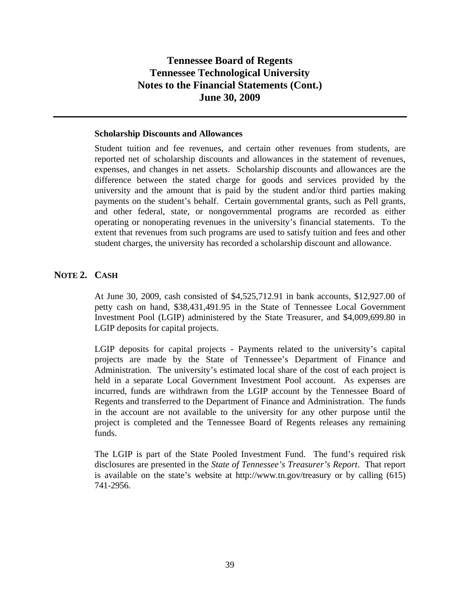#### **Scholarship Discounts and Allowances**

Student tuition and fee revenues, and certain other revenues from students, are reported net of scholarship discounts and allowances in the statement of revenues, expenses, and changes in net assets. Scholarship discounts and allowances are the difference between the stated charge for goods and services provided by the university and the amount that is paid by the student and/or third parties making payments on the student's behalf. Certain governmental grants, such as Pell grants, and other federal, state, or nongovernmental programs are recorded as either operating or nonoperating revenues in the university's financial statements. To the extent that revenues from such programs are used to satisfy tuition and fees and other student charges, the university has recorded a scholarship discount and allowance.

## **NOTE 2. CASH**

At June 30, 2009, cash consisted of \$4,525,712.91 in bank accounts, \$12,927.00 of petty cash on hand, \$38,431,491.95 in the State of Tennessee Local Government Investment Pool (LGIP) administered by the State Treasurer, and \$4,009,699.80 in LGIP deposits for capital projects.

LGIP deposits for capital projects - Payments related to the university's capital projects are made by the State of Tennessee's Department of Finance and Administration. The university's estimated local share of the cost of each project is held in a separate Local Government Investment Pool account. As expenses are incurred, funds are withdrawn from the LGIP account by the Tennessee Board of Regents and transferred to the Department of Finance and Administration. The funds in the account are not available to the university for any other purpose until the project is completed and the Tennessee Board of Regents releases any remaining funds.

The LGIP is part of the State Pooled Investment Fund. The fund's required risk disclosures are presented in the *State of Tennessee's Treasurer's Report*. That report is available on the state's website at http://www.tn.gov/treasury or by calling (615) 741-2956.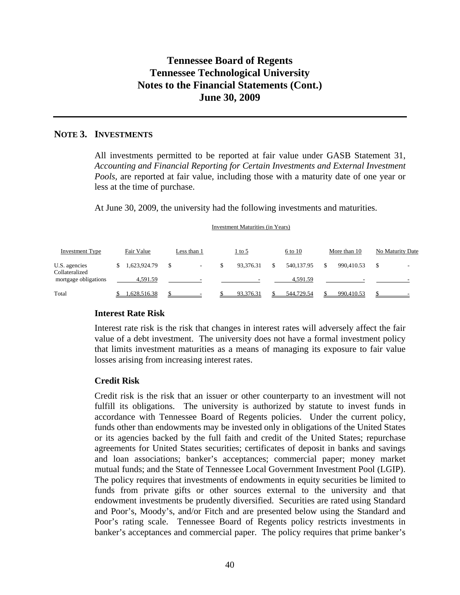## **NOTE 3. INVESTMENTS**

All investments permitted to be reported at fair value under GASB Statement 31, *Accounting and Financial Reporting for Certain Investments and External Investment Pools,* are reported at fair value, including those with a maturity date of one year or less at the time of purchase.

At June 30, 2009, the university had the following investments and maturities.

|                                 |              |                                |   | Investment ividuatives (in Tears) |            |              |                  |
|---------------------------------|--------------|--------------------------------|---|-----------------------------------|------------|--------------|------------------|
| <b>Investment Type</b>          | Fair Value   | Less than 1                    |   | $1$ to 5                          | 6 to 10    | More than 10 | No Maturity Date |
| U.S. agencies<br>Collateralized | 1,623,924.79 | \$<br>$\overline{\phantom{a}}$ | S | 93.376.31                         | 540.137.95 | 990.410.53   | \$               |
| mortgage obligations            | 4,591.59     | -                              |   |                                   | 4,591.59   |              |                  |
| Total                           | .628.516.38  |                                |   | 93.376.31                         | 544,729.54 | 990.410.53   |                  |

#### Investment Maturities (in Years)

#### **Interest Rate Risk**

Interest rate risk is the risk that changes in interest rates will adversely affect the fair value of a debt investment. The university does not have a formal investment policy that limits investment maturities as a means of managing its exposure to fair value losses arising from increasing interest rates.

#### **Credit Risk**

Credit risk is the risk that an issuer or other counterparty to an investment will not fulfill its obligations. The university is authorized by statute to invest funds in accordance with Tennessee Board of Regents policies. Under the current policy, funds other than endowments may be invested only in obligations of the United States or its agencies backed by the full faith and credit of the United States; repurchase agreements for United States securities; certificates of deposit in banks and savings and loan associations; banker's acceptances; commercial paper; money market mutual funds; and the State of Tennessee Local Government Investment Pool (LGIP). The policy requires that investments of endowments in equity securities be limited to funds from private gifts or other sources external to the university and that endowment investments be prudently diversified. Securities are rated using Standard and Poor's, Moody's, and/or Fitch and are presented below using the Standard and Poor's rating scale. Tennessee Board of Regents policy restricts investments in banker's acceptances and commercial paper. The policy requires that prime banker's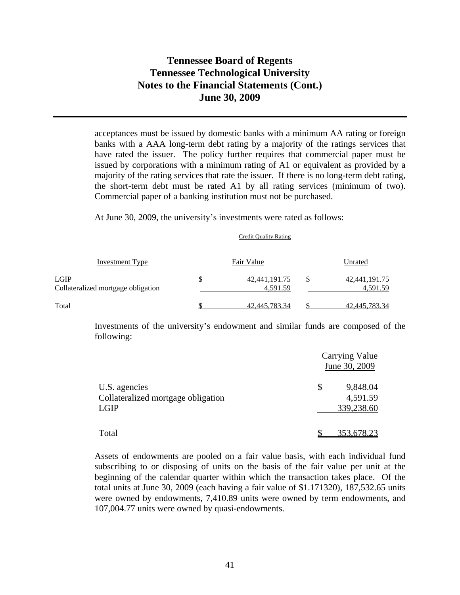acceptances must be issued by domestic banks with a minimum AA rating or foreign banks with a AAA long-term debt rating by a majority of the ratings services that have rated the issuer. The policy further requires that commercial paper must be issued by corporations with a minimum rating of A1 or equivalent as provided by a majority of the rating services that rate the issuer. If there is no long-term debt rating, the short-term debt must be rated A1 by all rating services (minimum of two). Commercial paper of a banking institution must not be purchased.

Credit Quality Rating

At June 30, 2009, the university's investments were rated as follows:

| Investment Type                                   |    | Fair Value                   | Unrated                            |
|---------------------------------------------------|----|------------------------------|------------------------------------|
| <b>LGIP</b><br>Collateralized mortgage obligation | \$ | 42, 441, 191. 75<br>4,591.59 | \$<br>42, 441, 191. 75<br>4,591.59 |
| Total                                             | ፍ  | 42,445,783.34                | 42,445,783.34                      |

Investments of the university's endowment and similar funds are composed of the following:

|                                                             | <b>Carrying Value</b><br>June 30, 2009   |  |
|-------------------------------------------------------------|------------------------------------------|--|
| U.S. agencies<br>Collateralized mortgage obligation<br>LGIP | 9,848.04<br>\$<br>4,591.59<br>339,238.60 |  |
| Total                                                       | <u>353,678.23</u>                        |  |

Assets of endowments are pooled on a fair value basis, with each individual fund subscribing to or disposing of units on the basis of the fair value per unit at the beginning of the calendar quarter within which the transaction takes place. Of the total units at June 30, 2009 (each having a fair value of \$1.171320), 187,532.65 units were owned by endowments, 7,410.89 units were owned by term endowments, and 107,004.77 units were owned by quasi-endowments.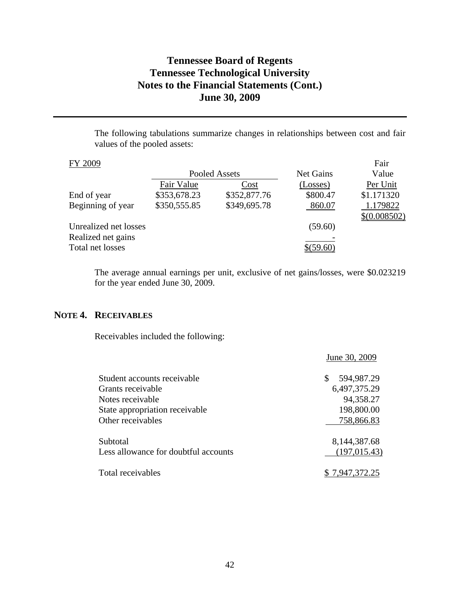The following tabulations summarize changes in relationships between cost and fair values of the pooled assets:

|              |              |               | Fair           |
|--------------|--------------|---------------|----------------|
|              |              | Net Gains     | Value          |
| Fair Value   | Cost         | (Losses)      | Per Unit       |
| \$353,678.23 | \$352,877.76 | \$800.47      | \$1.171320     |
| \$350,555.85 | \$349,695.78 | 860.07        | 1.179822       |
|              |              |               | $$$ (0.008502) |
|              |              | (59.60)       |                |
|              |              |               |                |
|              |              |               |                |
|              |              | Pooled Assets |                |

The average annual earnings per unit, exclusive of net gains/losses, were \$0.023219 for the year ended June 30, 2009.

# **NOTE 4. RECEIVABLES**

Receivables included the following:

|                                      | June 30, 2009    |
|--------------------------------------|------------------|
| Student accounts receivable          | 594,987.29<br>\$ |
| Grants receivable                    | 6,497,375.29     |
| Notes receivable                     | 94,358.27        |
| State appropriation receivable       | 198,800.00       |
| Other receivables                    | 758,866.83       |
| Subtotal                             | 8, 144, 387. 68  |
| Less allowance for doubtful accounts | (197, 015.43)    |
| Total receivables                    | \$7,947,372.25   |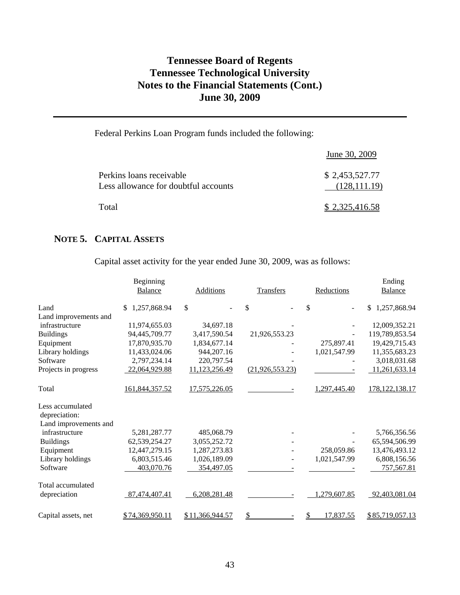# Federal Perkins Loan Program funds included the following:

|                                                                  | June 30, 2009                   |
|------------------------------------------------------------------|---------------------------------|
| Perkins loans receivable<br>Less allowance for doubtful accounts | \$2,453,527.77<br>(128, 111.19) |
| Total                                                            | \$2,325,416.58                  |

## **NOTE 5. CAPITAL ASSETS**

Capital asset activity for the year ended June 30, 2009, was as follows:

|                       | Beginning          |                  |                   |              | Ending             |
|-----------------------|--------------------|------------------|-------------------|--------------|--------------------|
|                       | Balance            | <b>Additions</b> | <b>Transfers</b>  | Reductions   | <b>Balance</b>     |
| Land                  | 1,257,868.94<br>\$ | \$               | \$                | \$           | 1,257,868.94<br>\$ |
| Land improvements and |                    |                  |                   |              |                    |
| infrastructure        | 11,974,655.03      | 34,697.18        |                   |              | 12,009,352.21      |
| <b>Buildings</b>      | 94,445,709.77      | 3,417,590.54     | 21,926,553.23     |              | 119,789,853.54     |
| Equipment             | 17,870,935.70      | 1,834,677.14     |                   | 275,897.41   | 19,429,715.43      |
| Library holdings      | 11,433,024.06      | 944,207.16       |                   | 1,021,547.99 | 11,355,683.23      |
| Software              | 2,797,234.14       | 220,797.54       |                   |              | 3,018,031.68       |
| Projects in progress  | 22,064,929.88      | 11,123,256.49    | (21, 926, 553.23) |              | 11,261,633.14      |
| Total                 | 161,844,357.52     | 17,575,226.05    |                   | 1,297,445.40 | 178, 122, 138. 17  |
| Less accumulated      |                    |                  |                   |              |                    |
| depreciation:         |                    |                  |                   |              |                    |
| Land improvements and |                    |                  |                   |              |                    |
| infrastructure        | 5,281,287.77       | 485,068.79       |                   |              | 5,766,356.56       |
| <b>Buildings</b>      | 62,539,254.27      | 3,055,252.72     |                   |              | 65,594,506.99      |
| Equipment             | 12,447,279.15      | 1,287,273.83     |                   | 258,059.86   | 13,476,493.12      |
| Library holdings      | 6,803,515.46       | 1,026,189.09     |                   | 1,021,547.99 | 6,808,156.56       |
| Software              | 403,070.76         | 354,497.05       |                   |              | 757,567.81         |
| Total accumulated     |                    |                  |                   |              |                    |
| depreciation          | 87,474,407.41      | 6,208,281.48     |                   | 1,279,607.85 | 92,403,081.04      |
| Capital assets, net   | \$74,369,950.11    | \$11,366,944.57  |                   | 17,837.55    | \$85,719,057.13    |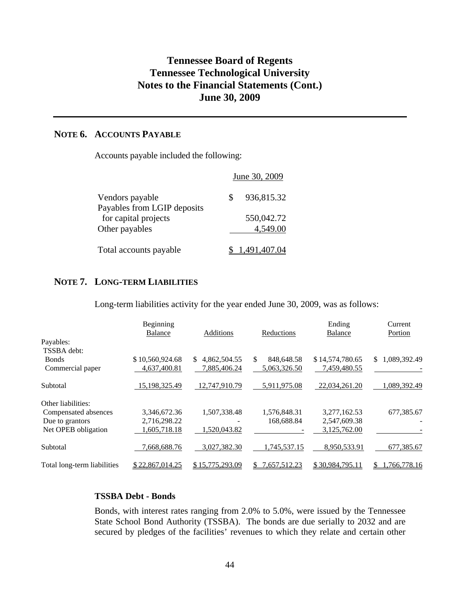## **NOTE 6. ACCOUNTS PAYABLE**

Accounts payable included the following:

|                                                     | June 30, 2009 |
|-----------------------------------------------------|---------------|
| Vendors payable                                     | 936,815.32    |
| Payables from LGIP deposits<br>for capital projects | 550,042.72    |
| Other payables                                      | 4,549.00      |
| Total accounts payable                              | 1,491,407.04  |

## **NOTE 7. LONG-TERM LIABILITIES**

Long-term liabilities activity for the year ended June 30, 2009, was as follows:

|                             | Beginning       |                     |                   | Ending          | Current            |
|-----------------------------|-----------------|---------------------|-------------------|-----------------|--------------------|
|                             | Balance         | Additions           | Reductions        | <b>Balance</b>  | Portion            |
| Payables:                   |                 |                     |                   |                 |                    |
| TSSBA debt:                 |                 |                     |                   |                 |                    |
| <b>Bonds</b>                | \$10,560,924.68 | 4,862,504.55<br>\$. | 848,648.58<br>\$. | \$14,574,780.65 | 1,089,392.49<br>S. |
| Commercial paper            | 4,637,400.81    | 7,885,406.24        | 5,063,326.50      | 7,459,480.55    |                    |
| Subtotal                    | 15,198,325.49   | 12,747,910.79       | 5,911,975.08      | 22,034,261.20   | 1,089,392.49       |
| Other liabilities:          |                 |                     |                   |                 |                    |
| Compensated absences        | 3,346,672.36    | 1,507,338.48        | 1.576.848.31      | 3.277.162.53    | 677,385.67         |
| Due to grantors             | 2,716,298.22    |                     | 168,688.84        | 2,547,609.38    |                    |
| Net OPEB obligation         | 1,605,718.18    | 1,520,043.82        |                   | 3,125,762.00    |                    |
| Subtotal                    | 7,668,688.76    | 3,027,382.30        | 1,745,537.15      | 8,950,533.91    | 677,385.67         |
| Total long-term liabilities | \$22,867,014.25 | \$15,775,293.09     | 7,657,512.23      | \$30.984.795.11 | 1,766,778.16       |

## **TSSBA Debt - Bonds**

Bonds, with interest rates ranging from 2.0% to 5.0%, were issued by the Tennessee State School Bond Authority (TSSBA). The bonds are due serially to 2032 and are secured by pledges of the facilities' revenues to which they relate and certain other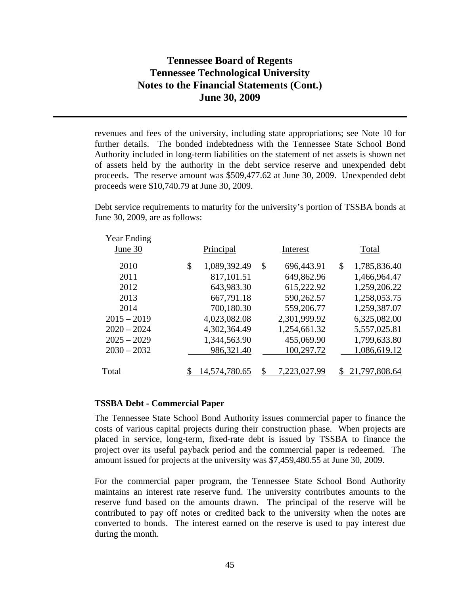revenues and fees of the university, including state appropriations; see Note 10 for further details. The bonded indebtedness with the Tennessee State School Bond Authority included in long-term liabilities on the statement of net assets is shown net of assets held by the authority in the debt service reserve and unexpended debt proceeds. The reserve amount was \$509,477.62 at June 30, 2009. Unexpended debt proceeds were \$10,740.79 at June 30, 2009.

Debt service requirements to maturity for the university's portion of TSSBA bonds at June 30, 2009, are as follows:

| <b>Year Ending</b><br>June 30 | Principal          | Interest           | Total              |
|-------------------------------|--------------------|--------------------|--------------------|
| 2010                          | \$<br>1,089,392.49 | \$<br>696,443.91   | \$<br>1,785,836.40 |
| 2011                          | 817,101.51         | 649,862.96         | 1,466,964.47       |
| 2012                          | 643,983.30         | 615,222.92         | 1,259,206.22       |
| 2013                          | 667,791.18         | 590,262.57         | 1,258,053.75       |
| 2014                          | 700,180.30         | 559,206.77         | 1,259,387.07       |
| $2015 - 2019$                 | 4,023,082.08       | 2,301,999.92       | 6,325,082.00       |
| $2020 - 2024$                 | 4,302,364.49       | 1,254,661.32       | 5,557,025.81       |
| $2025 - 2029$                 | 1,344,563.90       | 455,069.90         | 1,799,633.80       |
| $2030 - 2032$                 | 986,321.40         | 100,297.72         | 1,086,619.12       |
|                               |                    |                    |                    |
| Total                         | 4,574,780.65       | \$<br>7.223,027.99 | 21,797,808.64      |
|                               |                    |                    |                    |

#### **TSSBA Debt - Commercial Paper**

The Tennessee State School Bond Authority issues commercial paper to finance the costs of various capital projects during their construction phase. When projects are placed in service, long-term, fixed-rate debt is issued by TSSBA to finance the project over its useful payback period and the commercial paper is redeemed. The amount issued for projects at the university was \$7,459,480.55 at June 30, 2009.

For the commercial paper program, the Tennessee State School Bond Authority maintains an interest rate reserve fund. The university contributes amounts to the reserve fund based on the amounts drawn. The principal of the reserve will be contributed to pay off notes or credited back to the university when the notes are converted to bonds. The interest earned on the reserve is used to pay interest due during the month.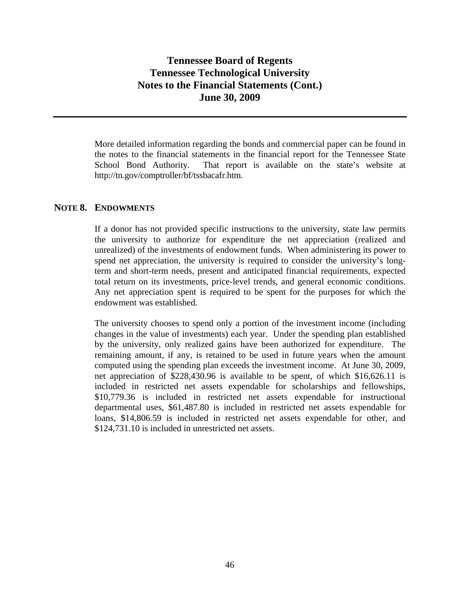More detailed information regarding the bonds and commercial paper can be found in the notes to the financial statements in the financial report for the Tennessee State School Bond Authority. That report is available on the state's website at http://tn.gov/comptroller/bf/tssbacafr.htm.

## **NOTE 8. ENDOWMENTS**

If a donor has not provided specific instructions to the university, state law permits the university to authorize for expenditure the net appreciation (realized and unrealized) of the investments of endowment funds. When administering its power to spend net appreciation, the university is required to consider the university's longterm and short-term needs, present and anticipated financial requirements, expected total return on its investments, price-level trends, and general economic conditions. Any net appreciation spent is required to be spent for the purposes for which the endowment was established.

The university chooses to spend only a portion of the investment income (including changes in the value of investments) each year. Under the spending plan established by the university, only realized gains have been authorized for expenditure. The remaining amount, if any, is retained to be used in future years when the amount computed using the spending plan exceeds the investment income. At June 30, 2009, net appreciation of \$228,430.96 is available to be spent, of which \$16,626.11 is included in restricted net assets expendable for scholarships and fellowships, \$10,779.36 is included in restricted net assets expendable for instructional departmental uses, \$61,487.80 is included in restricted net assets expendable for loans, \$14,806.59 is included in restricted net assets expendable for other, and \$124,731.10 is included in unrestricted net assets.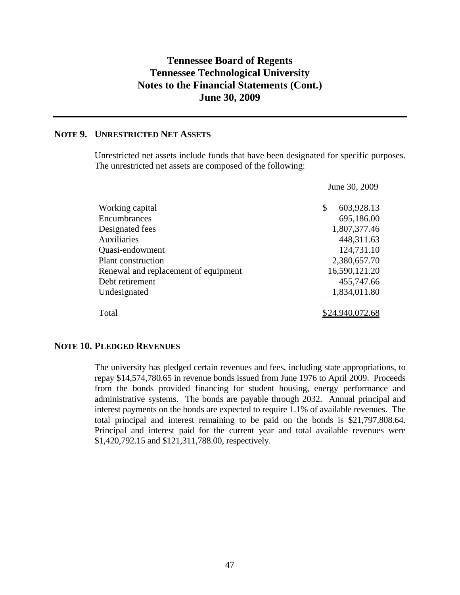# **NOTE 9. UNRESTRICTED NET ASSETS**

Unrestricted net assets include funds that have been designated for specific purposes. The unrestricted net assets are composed of the following:

|                                      | June 30, 2009    |
|--------------------------------------|------------------|
| Working capital                      | 603,928.13<br>\$ |
| Encumbrances                         | 695,186.00       |
| Designated fees                      | 1,807,377.46     |
| <b>Auxiliaries</b>                   | 448,311.63       |
| Quasi-endowment                      | 124,731.10       |
| <b>Plant construction</b>            | 2,380,657.70     |
| Renewal and replacement of equipment | 16,590,121.20    |
| Debt retirement                      | 455,747.66       |
| Undesignated                         | 1,834,011.80     |
| Total                                | \$24,940,072.68  |

## **NOTE 10. PLEDGED REVENUES**

The university has pledged certain revenues and fees, including state appropriations, to repay \$14,574,780.65 in revenue bonds issued from June 1976 to April 2009. Proceeds from the bonds provided financing for student housing, energy performance and administrative systems. The bonds are payable through 2032. Annual principal and interest payments on the bonds are expected to require 1.1% of available revenues. The total principal and interest remaining to be paid on the bonds is \$21,797,808.64. Principal and interest paid for the current year and total available revenues were \$1,420,792.15 and \$121,311,788.00, respectively.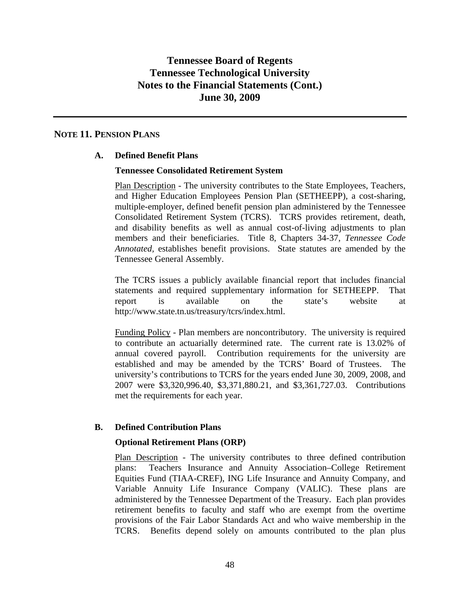## **NOTE 11. PENSION PLANS**

## **A. Defined Benefit Plans**

## **Tennessee Consolidated Retirement System**

Plan Description - The university contributes to the State Employees, Teachers, and Higher Education Employees Pension Plan (SETHEEPP), a cost-sharing, multiple-employer, defined benefit pension plan administered by the Tennessee Consolidated Retirement System (TCRS). TCRS provides retirement, death, and disability benefits as well as annual cost-of-living adjustments to plan members and their beneficiaries. Title 8, Chapters 34-37, *Tennessee Code Annotated,* establishes benefit provisions. State statutes are amended by the Tennessee General Assembly.

The TCRS issues a publicly available financial report that includes financial statements and required supplementary information for SETHEEPP. That report is available on the state's website at http://www.state.tn.us/treasury/tcrs/index.html.

Funding Policy - Plan members are noncontributory. The university is required to contribute an actuarially determined rate. The current rate is 13.02% of annual covered payroll. Contribution requirements for the university are established and may be amended by the TCRS' Board of Trustees. The university's contributions to TCRS for the years ended June 30, 2009, 2008, and 2007 were \$3,320,996.40, \$3,371,880.21, and \$3,361,727.03. Contributions met the requirements for each year.

## **B. Defined Contribution Plans**

## **Optional Retirement Plans (ORP)**

Plan Description - The university contributes to three defined contribution plans: Teachers Insurance and Annuity Association–College Retirement Equities Fund (TIAA-CREF), ING Life Insurance and Annuity Company, and Variable Annuity Life Insurance Company (VALIC). These plans are administered by the Tennessee Department of the Treasury. Each plan provides retirement benefits to faculty and staff who are exempt from the overtime provisions of the Fair Labor Standards Act and who waive membership in the TCRS. Benefits depend solely on amounts contributed to the plan plus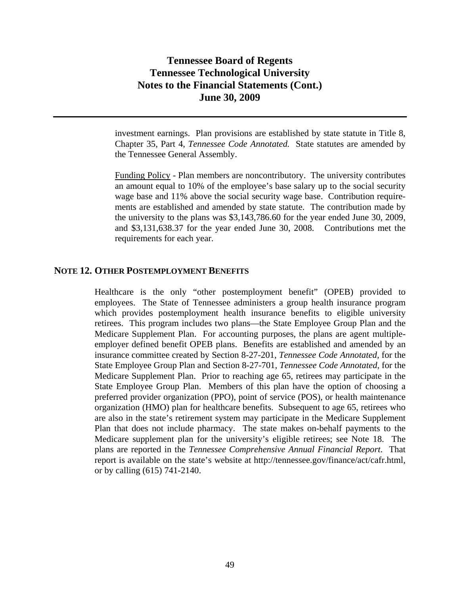investment earnings. Plan provisions are established by state statute in Title 8, Chapter 35, Part 4, *Tennessee Code Annotated.* State statutes are amended by the Tennessee General Assembly.

Funding Policy - Plan members are noncontributory. The university contributes an amount equal to 10% of the employee's base salary up to the social security wage base and 11% above the social security wage base. Contribution requirements are established and amended by state statute. The contribution made by the university to the plans was \$3,143,786.60 for the year ended June 30, 2009, and \$3,131,638.37 for the year ended June 30, 2008. Contributions met the requirements for each year.

#### **NOTE 12. OTHER POSTEMPLOYMENT BENEFITS**

Healthcare is the only "other postemployment benefit" (OPEB) provided to employees. The State of Tennessee administers a group health insurance program which provides postemployment health insurance benefits to eligible university retirees. This program includes two plans—the State Employee Group Plan and the Medicare Supplement Plan. For accounting purposes, the plans are agent multipleemployer defined benefit OPEB plans. Benefits are established and amended by an insurance committee created by Section 8-27-201, *Tennessee Code Annotated,* for the State Employee Group Plan and Section 8-27-701, *Tennessee Code Annotated,* for the Medicare Supplement Plan. Prior to reaching age 65, retirees may participate in the State Employee Group Plan. Members of this plan have the option of choosing a preferred provider organization (PPO), point of service (POS), or health maintenance organization (HMO) plan for healthcare benefits. Subsequent to age 65, retirees who are also in the state's retirement system may participate in the Medicare Supplement Plan that does not include pharmacy. The state makes on-behalf payments to the Medicare supplement plan for the university's eligible retirees; see Note 18. The plans are reported in the *Tennessee Comprehensive Annual Financial Report*. That report is available on the state's website at http://tennessee.gov/finance/act/cafr.html, or by calling (615) 741-2140.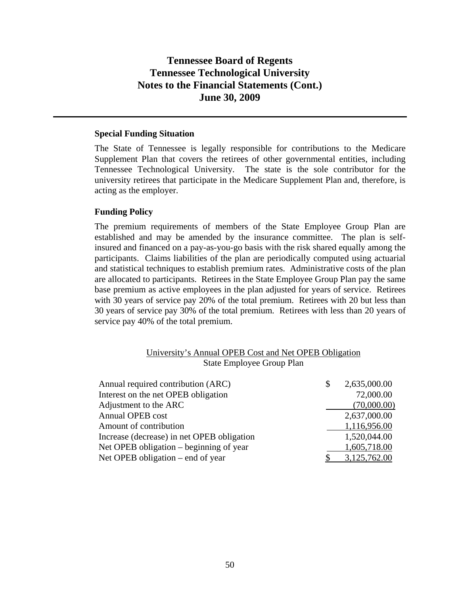#### **Special Funding Situation**

The State of Tennessee is legally responsible for contributions to the Medicare Supplement Plan that covers the retirees of other governmental entities, including Tennessee Technological University. The state is the sole contributor for the university retirees that participate in the Medicare Supplement Plan and, therefore, is acting as the employer.

#### **Funding Policy**

The premium requirements of members of the State Employee Group Plan are established and may be amended by the insurance committee. The plan is selfinsured and financed on a pay-as-you-go basis with the risk shared equally among the participants. Claims liabilities of the plan are periodically computed using actuarial and statistical techniques to establish premium rates. Administrative costs of the plan are allocated to participants. Retirees in the State Employee Group Plan pay the same base premium as active employees in the plan adjusted for years of service. Retirees with 30 years of service pay 20% of the total premium. Retirees with 20 but less than 30 years of service pay 30% of the total premium. Retirees with less than 20 years of service pay 40% of the total premium.

|  |                           | University's Annual OPEB Cost and Net OPEB Obligation |  |
|--|---------------------------|-------------------------------------------------------|--|
|  | State Employee Group Plan |                                                       |  |

| Annual required contribution (ARC)         | 2,635,000.00 |
|--------------------------------------------|--------------|
| Interest on the net OPEB obligation        | 72,000.00    |
| Adjustment to the ARC                      | (70,000.00)  |
| Annual OPEB cost                           | 2,637,000.00 |
| Amount of contribution                     | 1,116,956.00 |
| Increase (decrease) in net OPEB obligation | 1,520,044.00 |
| Net OPEB obligation – beginning of year    | 1,605,718.00 |
| Net OPEB obligation – end of year          | 3,125,762.00 |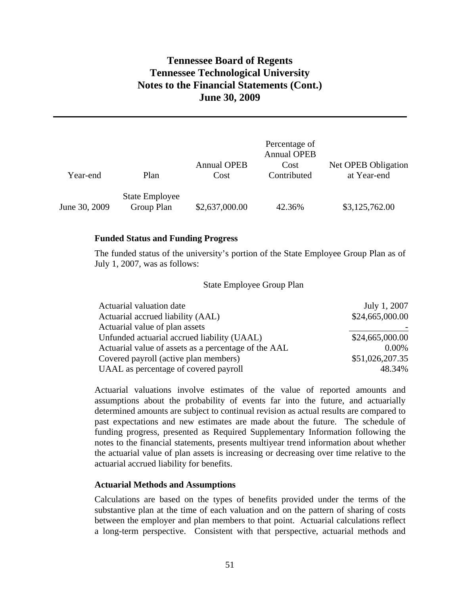| Year-end      | Plan                                | <b>Annual OPEB</b><br>Cost | Percentage of<br><b>Annual OPEB</b><br>Cost<br>Contributed | Net OPEB Obligation<br>at Year-end |
|---------------|-------------------------------------|----------------------------|------------------------------------------------------------|------------------------------------|
| June 30, 2009 | <b>State Employee</b><br>Group Plan | \$2,637,000.00             | 42.36%                                                     | \$3,125,762.00                     |

#### **Funded Status and Funding Progress**

The funded status of the university's portion of the State Employee Group Plan as of July 1, 2007, was as follows:

#### State Employee Group Plan

| Actuarial valuation date                             | July 1, 2007    |
|------------------------------------------------------|-----------------|
| Actuarial accrued liability (AAL)                    | \$24,665,000.00 |
| Actuarial value of plan assets                       |                 |
| Unfunded actuarial accrued liability (UAAL)          | \$24,665,000.00 |
| Actuarial value of assets as a percentage of the AAL | $0.00\%$        |
| Covered payroll (active plan members)                | \$51,026,207.35 |
| UAAL as percentage of covered payroll                | 48.34%          |

Actuarial valuations involve estimates of the value of reported amounts and assumptions about the probability of events far into the future, and actuarially determined amounts are subject to continual revision as actual results are compared to past expectations and new estimates are made about the future. The schedule of funding progress, presented as Required Supplementary Information following the notes to the financial statements, presents multiyear trend information about whether the actuarial value of plan assets is increasing or decreasing over time relative to the actuarial accrued liability for benefits.

#### **Actuarial Methods and Assumptions**

Calculations are based on the types of benefits provided under the terms of the substantive plan at the time of each valuation and on the pattern of sharing of costs between the employer and plan members to that point. Actuarial calculations reflect a long-term perspective. Consistent with that perspective, actuarial methods and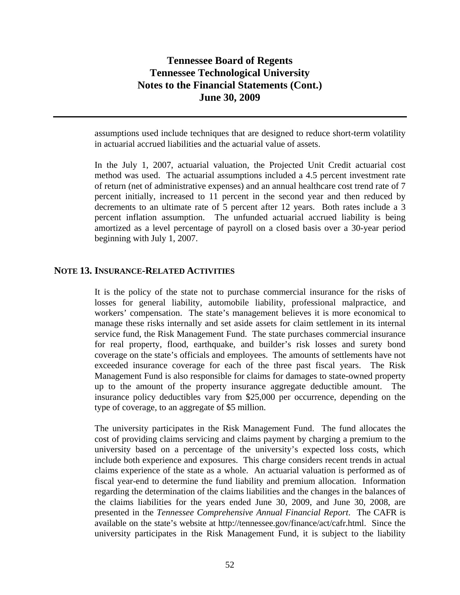assumptions used include techniques that are designed to reduce short-term volatility in actuarial accrued liabilities and the actuarial value of assets.

In the July 1, 2007, actuarial valuation, the Projected Unit Credit actuarial cost method was used. The actuarial assumptions included a 4.5 percent investment rate of return (net of administrative expenses) and an annual healthcare cost trend rate of 7 percent initially, increased to 11 percent in the second year and then reduced by decrements to an ultimate rate of 5 percent after 12 years. Both rates include a 3 percent inflation assumption. The unfunded actuarial accrued liability is being amortized as a level percentage of payroll on a closed basis over a 30-year period beginning with July 1, 2007.

### **NOTE 13. INSURANCE-RELATED ACTIVITIES**

It is the policy of the state not to purchase commercial insurance for the risks of losses for general liability, automobile liability, professional malpractice, and workers' compensation. The state's management believes it is more economical to manage these risks internally and set aside assets for claim settlement in its internal service fund, the Risk Management Fund. The state purchases commercial insurance for real property, flood, earthquake, and builder's risk losses and surety bond coverage on the state's officials and employees. The amounts of settlements have not exceeded insurance coverage for each of the three past fiscal years. The Risk Management Fund is also responsible for claims for damages to state-owned property up to the amount of the property insurance aggregate deductible amount. The insurance policy deductibles vary from \$25,000 per occurrence, depending on the type of coverage, to an aggregate of \$5 million.

The university participates in the Risk Management Fund. The fund allocates the cost of providing claims servicing and claims payment by charging a premium to the university based on a percentage of the university's expected loss costs, which include both experience and exposures. This charge considers recent trends in actual claims experience of the state as a whole. An actuarial valuation is performed as of fiscal year-end to determine the fund liability and premium allocation. Information regarding the determination of the claims liabilities and the changes in the balances of the claims liabilities for the years ended June 30, 2009, and June 30, 2008, are presented in the *Tennessee Comprehensive Annual Financial Report*. The CAFR is available on the state's website at http://tennessee.gov/finance/act/cafr.html. Since the university participates in the Risk Management Fund, it is subject to the liability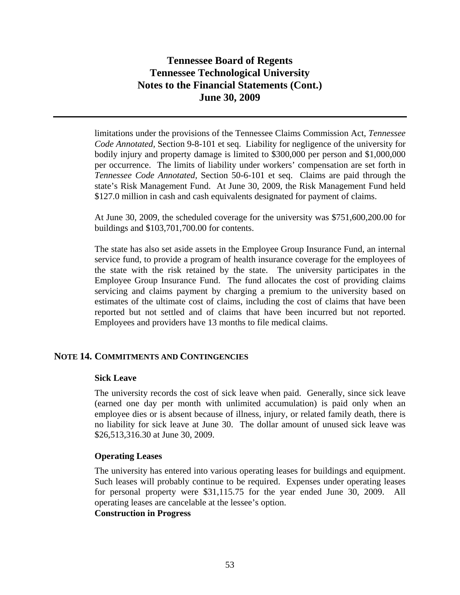limitations under the provisions of the Tennessee Claims Commission Act, *Tennessee Code Annotated,* Section 9-8-101 et seq. Liability for negligence of the university for bodily injury and property damage is limited to \$300,000 per person and \$1,000,000 per occurrence. The limits of liability under workers' compensation are set forth in *Tennessee Code Annotated,* Section 50-6-101 et seq. Claims are paid through the state's Risk Management Fund. At June 30, 2009, the Risk Management Fund held \$127.0 million in cash and cash equivalents designated for payment of claims.

At June 30, 2009, the scheduled coverage for the university was \$751,600,200.00 for buildings and \$103,701,700.00 for contents.

The state has also set aside assets in the Employee Group Insurance Fund, an internal service fund, to provide a program of health insurance coverage for the employees of the state with the risk retained by the state. The university participates in the Employee Group Insurance Fund. The fund allocates the cost of providing claims servicing and claims payment by charging a premium to the university based on estimates of the ultimate cost of claims, including the cost of claims that have been reported but not settled and of claims that have been incurred but not reported. Employees and providers have 13 months to file medical claims.

## **NOTE 14. COMMITMENTS AND CONTINGENCIES**

#### **Sick Leave**

The university records the cost of sick leave when paid. Generally, since sick leave (earned one day per month with unlimited accumulation) is paid only when an employee dies or is absent because of illness, injury, or related family death, there is no liability for sick leave at June 30. The dollar amount of unused sick leave was \$26,513,316.30 at June 30, 2009.

#### **Operating Leases**

The university has entered into various operating leases for buildings and equipment. Such leases will probably continue to be required. Expenses under operating leases for personal property were \$31,115.75 for the year ended June 30, 2009. All operating leases are cancelable at the lessee's option.

## **Construction in Progress**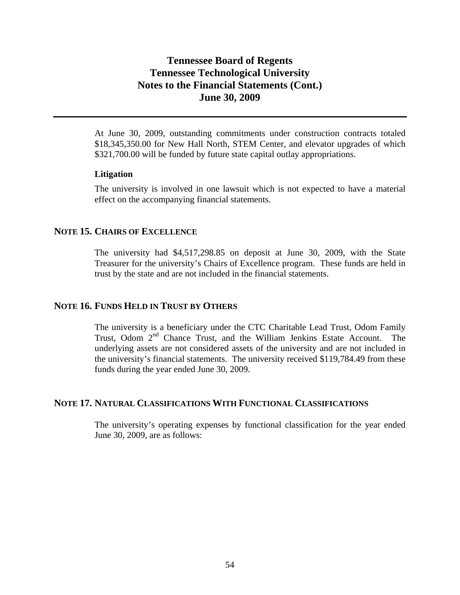At June 30, 2009, outstanding commitments under construction contracts totaled \$18,345,350.00 for New Hall North, STEM Center, and elevator upgrades of which \$321,700.00 will be funded by future state capital outlay appropriations.

#### **Litigation**

The university is involved in one lawsuit which is not expected to have a material effect on the accompanying financial statements.

## **NOTE 15. CHAIRS OF EXCELLENCE**

The university had \$4,517,298.85 on deposit at June 30, 2009, with the State Treasurer for the university's Chairs of Excellence program. These funds are held in trust by the state and are not included in the financial statements.

## **NOTE 16. FUNDS HELD IN TRUST BY OTHERS**

The university is a beneficiary under the CTC Charitable Lead Trust, Odom Family Trust, Odom 2<sup>nd</sup> Chance Trust, and the William Jenkins Estate Account. The underlying assets are not considered assets of the university and are not included in the university's financial statements. The university received \$119,784.49 from these funds during the year ended June 30, 2009.

#### **NOTE 17. NATURAL CLASSIFICATIONS WITH FUNCTIONAL CLASSIFICATIONS**

The university's operating expenses by functional classification for the year ended June 30, 2009, are as follows: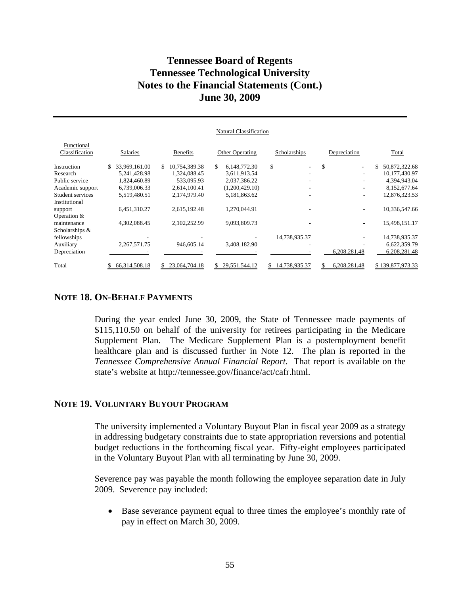|                              |                      |                     | Natural Classification |                                |              |                     |
|------------------------------|----------------------|---------------------|------------------------|--------------------------------|--------------|---------------------|
| Functional<br>Classification | <b>Salaries</b>      | <b>Benefits</b>     | <b>Other Operating</b> | Scholarships                   | Depreciation | Total               |
| Instruction                  | 33,969,161.00<br>\$. | 10,754,389.38<br>S. | 6,148,772.30<br>\$     | \$<br>$\overline{\phantom{0}}$ | \$<br>٠      | 50,872,322.68<br>\$ |
| Research                     | 5,241,428.98         | 1.324.088.45        | 3,611,913.54           |                                | ۰            | 10,177,430.97       |
| Public service               | 1,824,460.89         | 533,095.93          | 2,037,386.22           |                                |              | 4,394,943.04        |
| Academic support             | 6,739,006.33         | 2,614,100.41        | (1,200,429.10)         |                                | ٠            | 8,152,677.64        |
| Student services             | 5,519,480.51         | 2,174,979.40        | 5,181,863.62           |                                | ۰            | 12,876,323.53       |
| Institutional                |                      |                     |                        |                                |              |                     |
| support                      | 6,451,310.27         | 2,615,192.48        | 1.270.044.91           |                                | ۰            | 10,336,547.66       |
| Operation $&$                |                      |                     |                        |                                |              |                     |
| maintenance                  | 4,302,088.45         | 2,102,252.99        | 9,093,809.73           |                                |              | 15,498,151.17       |
| Scholarships &               |                      |                     |                        |                                |              |                     |
| fellowships                  |                      |                     |                        | 14,738,935.37                  |              | 14,738,935.37       |
| Auxiliary                    | 2,267,571.75         | 946,605.14          | 3,408,182.90           |                                |              | 6,622,359.79        |
| Depreciation                 |                      |                     |                        |                                | 6,208,281.48 | 6,208,281.48        |
| Total                        | 66, 314, 508. 18     | 23,064,704.18<br>S. | 29,551,544.12<br>S.    | 14,738,935.37<br>S.            | 6,208,281.48 | \$139,877,973.33    |

## **NOTE 18. ON-BEHALF PAYMENTS**

During the year ended June 30, 2009, the State of Tennessee made payments of \$115,110.50 on behalf of the university for retirees participating in the Medicare Supplement Plan. The Medicare Supplement Plan is a postemployment benefit healthcare plan and is discussed further in Note 12. The plan is reported in the *Tennessee Comprehensive Annual Financial Report*. That report is available on the state's website at http://tennessee.gov/finance/act/cafr.html.

#### **NOTE 19. VOLUNTARY BUYOUT PROGRAM**

The university implemented a Voluntary Buyout Plan in fiscal year 2009 as a strategy in addressing budgetary constraints due to state appropriation reversions and potential budget reductions in the forthcoming fiscal year. Fifty-eight employees participated in the Voluntary Buyout Plan with all terminating by June 30, 2009.

Severence pay was payable the month following the employee separation date in July 2009. Severence pay included:

• Base severance payment equal to three times the employee's monthly rate of pay in effect on March 30, 2009.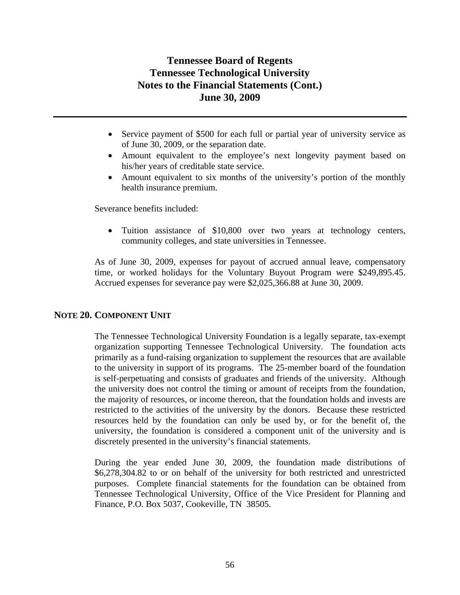- Service payment of \$500 for each full or partial year of university service as of June 30, 2009, or the separation date.
- Amount equivalent to the employee's next longevity payment based on his/her years of creditable state service.
- Amount equivalent to six months of the university's portion of the monthly health insurance premium.

Severance benefits included:

• Tuition assistance of \$10,800 over two years at technology centers, community colleges, and state universities in Tennessee.

As of June 30, 2009, expenses for payout of accrued annual leave, compensatory time, or worked holidays for the Voluntary Buyout Program were \$249,895.45. Accrued expenses for severance pay were \$2,025,366.88 at June 30, 2009.

## **NOTE 20. COMPONENT UNIT**

The Tennessee Technological University Foundation is a legally separate, tax-exempt organization supporting Tennessee Technological University. The foundation acts primarily as a fund-raising organization to supplement the resources that are available to the university in support of its programs. The 25-member board of the foundation is self-perpetuating and consists of graduates and friends of the university. Although the university does not control the timing or amount of receipts from the foundation, the majority of resources, or income thereon, that the foundation holds and invests are restricted to the activities of the university by the donors. Because these restricted resources held by the foundation can only be used by, or for the benefit of, the university, the foundation is considered a component unit of the university and is discretely presented in the university's financial statements.

During the year ended June 30, 2009, the foundation made distributions of \$6,278,304.82 to or on behalf of the university for both restricted and unrestricted purposes. Complete financial statements for the foundation can be obtained from Tennessee Technological University, Office of the Vice President for Planning and Finance, P.O. Box 5037, Cookeville, TN 38505.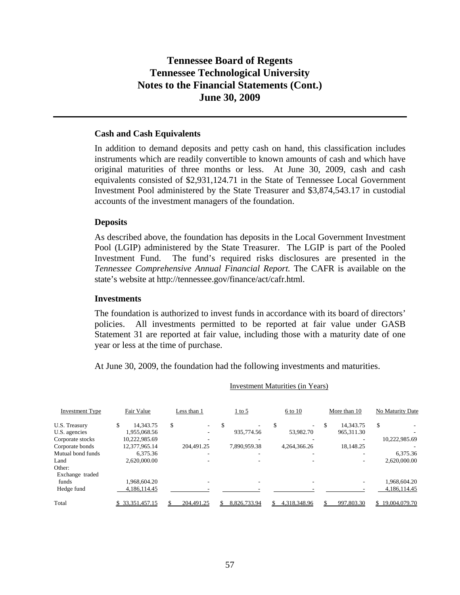#### **Cash and Cash Equivalents**

In addition to demand deposits and petty cash on hand, this classification includes instruments which are readily convertible to known amounts of cash and which have original maturities of three months or less. At June 30, 2009, cash and cash equivalents consisted of \$2,931,124.71 in the State of Tennessee Local Government Investment Pool administered by the State Treasurer and \$3,874,543.17 in custodial accounts of the investment managers of the foundation.

#### **Deposits**

As described above, the foundation has deposits in the Local Government Investment Pool (LGIP) administered by the State Treasurer. The LGIP is part of the Pooled Investment Fund. The fund's required risks disclosures are presented in the *Tennessee Comprehensive Annual Financial Report.* The CAFR is available on the state's website at http://tennessee.gov/finance/act/cafr.html.

#### **Investments**

The foundation is authorized to invest funds in accordance with its board of directors' policies. All investments permitted to be reported at fair value under GASB Statement 31 are reported at fair value, including those with a maturity date of one year or less at the time of purchase.

At June 30, 2009, the foundation had the following investments and maturities.

| <b>Investment Type</b> | Fair Value       | Less than 1                    | $1$ to 5     | 6 to 10      | More than 10 | No Maturity Date |
|------------------------|------------------|--------------------------------|--------------|--------------|--------------|------------------|
| U.S. Treasury          | 14.343.75<br>S   | \$<br>$\overline{\phantom{a}}$ |              | -            | 14.343.75    | <sup>\$</sup>    |
| U.S. agencies          | 1,955,068.56     |                                | 935,774.56   | 53,982.70    | 965, 311. 30 |                  |
| Corporate stocks       | 10,222,985.69    |                                |              |              |              | 10.222.985.69    |
| Corporate bonds        | 12,377,965.14    | 204.491.25                     | 7,890,959.38 | 4.264.366.26 | 18,148.25    |                  |
| Mutual bond funds      | 6,375.36         |                                |              |              |              | 6,375.36         |
| Land                   | 2.620,000.00     |                                |              |              |              | 2.620.000.00     |
| Other:                 |                  |                                |              |              |              |                  |
| Exchange traded        |                  |                                |              |              |              |                  |
| funds                  | 1.968.604.20     |                                |              |              |              | 1.968.604.20     |
| Hedge fund             | 4.186.114.45     |                                |              |              |              | 4.186.114.45     |
| Total                  | \$ 33,351,457.15 | 204,491.25                     | 8,826,733.94 | 4,318,348.96 | 997,803.30   | \$19,004,079.70  |

#### Investment Maturities (in Years)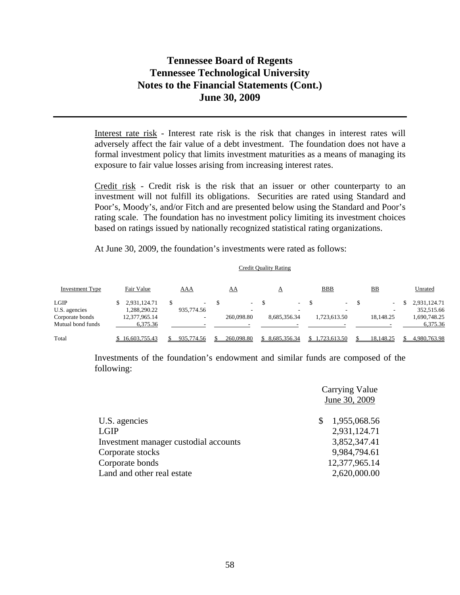Interest rate risk - Interest rate risk is the risk that changes in interest rates will adversely affect the fair value of a debt investment. The foundation does not have a formal investment policy that limits investment maturities as a means of managing its exposure to fair value losses arising from increasing interest rates.

Credit risk - Credit risk is the risk that an issuer or other counterparty to an investment will not fulfill its obligations. Securities are rated using Standard and Poor's, Moody's, and/or Fitch and are presented below using the Standard and Poor's rating scale. The foundation has no investment policy limiting its investment choices based on ratings issued by nationally recognized statistical rating organizations.

At June 30, 2009, the foundation's investments were rated as follows:

| Investment Type   | Fair Value    | AAA                      | <u>AA</u>       |    | А               | <b>BBB</b>      | $_{\rm BB}$ | Unrated      |
|-------------------|---------------|--------------------------|-----------------|----|-----------------|-----------------|-------------|--------------|
| LGIP              | 2,931,124.71  | $\sim$                   | $\sim$ 10 $\pm$ | -S | $\sim 10^{-11}$ | $\sim 10^{-11}$ | $\sim$      | 2,931,124.71 |
| U.S. agencies     | 1,288,290.22  | 935,774.56               | -               |    | -               | -               |             | 352,515.66   |
| Corporate bonds   | 12,377,965.14 | $\overline{\phantom{a}}$ | 260,098.80      |    | 8,685,356.34    | 1,723,613.50    | 18.148.25   | 1,690,748.25 |
| Mutual bond funds | 6.375.36      |                          |                 |    |                 |                 |             | 6,375.36     |
| Total             | 16.603.755.43 | 935,774.56               | 260,098.80      |    | \$ 8.685,356.34 | .723.613.50     | 18.148.25   | 4.980.763.98 |

Credit Quality Rating

Investments of the foundation's endowment and similar funds are composed of the following:

|                                       | <b>Carrying Value</b><br>June 30, 2009 |
|---------------------------------------|----------------------------------------|
| U.S. agencies                         | \$<br>1,955,068.56                     |
| <b>LGIP</b>                           | 2,931,124.71                           |
| Investment manager custodial accounts | 3,852,347.41                           |
| Corporate stocks                      | 9,984,794.61                           |
| Corporate bonds                       | 12,377,965.14                          |
| Land and other real estate            | 2,620,000.00                           |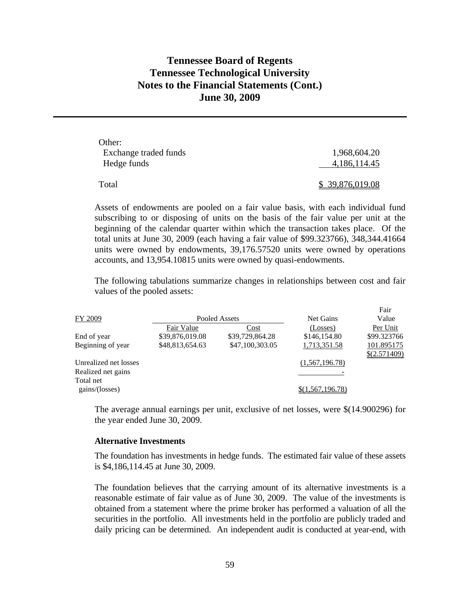| Other:                |                 |
|-----------------------|-----------------|
| Exchange traded funds | 1,968,604.20    |
| Hedge funds           | 4,186,114.45    |
| Total                 | \$39,876,019.08 |

Assets of endowments are pooled on a fair value basis, with each individual fund subscribing to or disposing of units on the basis of the fair value per unit at the beginning of the calendar quarter within which the transaction takes place. Of the total units at June 30, 2009 (each having a fair value of \$99.323766), 348,344.41664 units were owned by endowments, 39,176.57520 units were owned by operations accounts, and 13,954.10815 units were owned by quasi-endowments.

The following tabulations summarize changes in relationships between cost and fair values of the pooled assets:

|                       |                 |                 |                  | Fair           |
|-----------------------|-----------------|-----------------|------------------|----------------|
| FY 2009               |                 | Pooled Assets   | Net Gains        | Value          |
|                       | Fair Value      | Cost            | (Losses)         | Per Unit       |
| End of year           | \$39,876,019.08 | \$39,729,864.28 | \$146,154.80     | \$99.323766    |
| Beginning of year     | \$48,813,654.63 | \$47,100,303.05 | 1,713,351.58     | 101.895175     |
|                       |                 |                 |                  | $$$ (2.571409) |
| Unrealized net losses |                 |                 | (1,567,196.78)   |                |
| Realized net gains    |                 |                 |                  |                |
| Total net             |                 |                 |                  |                |
| gains/(losses)        |                 |                 | \$(1,567,196.78) |                |
|                       |                 |                 |                  |                |

The average annual earnings per unit, exclusive of net losses, were \$(14.900296) for the year ended June 30, 2009.

#### **Alternative Investments**

The foundation has investments in hedge funds. The estimated fair value of these assets is \$4,186,114.45 at June 30, 2009.

The foundation believes that the carrying amount of its alternative investments is a reasonable estimate of fair value as of June 30, 2009. The value of the investments is obtained from a statement where the prime broker has performed a valuation of all the securities in the portfolio. All investments held in the portfolio are publicly traded and daily pricing can be determined. An independent audit is conducted at year-end, with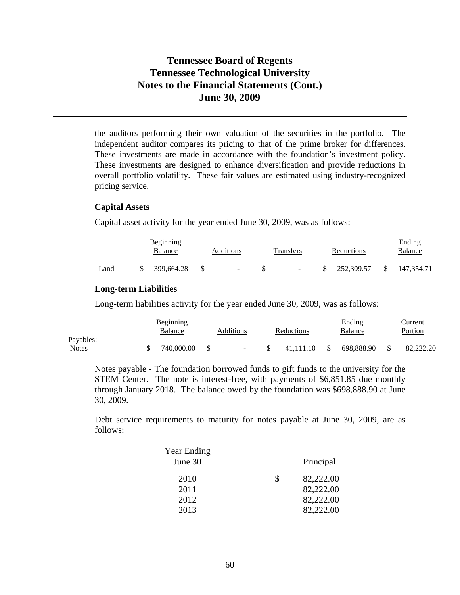the auditors performing their own valuation of the securities in the portfolio. The independent auditor compares its pricing to that of the prime broker for differences. These investments are made in accordance with the foundation's investment policy. These investments are designed to enhance diversification and provide reductions in overall portfolio volatility. These fair values are estimated using industry-recognized pricing service.

#### **Capital Assets**

Capital asset activity for the year ended June 30, 2009, was as follows:

|      | <b>Beginning</b><br>Balance |            | Additions | Transfers | Reductions               | Ending<br>Balance |              |            |
|------|-----------------------------|------------|-----------|-----------|--------------------------|-------------------|--------------|------------|
| Land |                             | 399,664.28 | \$.       | $\sim$    | <b>Contract Contract</b> | \$ 252,309.57     | <sup>S</sup> | 147,354.71 |

#### **Long-term Liabilities**

Long-term liabilities activity for the year ended June 30, 2009, was as follows:

|              | Beginning  |           |            |      | Ending     | Current   |
|--------------|------------|-----------|------------|------|------------|-----------|
|              | Balance    | Additions | Reductions |      | Balance    | Portion   |
| Payables:    |            |           |            |      |            |           |
| <b>Notes</b> | 740,000.00 | $\sim$    | 41.111.10  | - \$ | 698.888.90 | 82,222,20 |

Notes payable - The foundation borrowed funds to gift funds to the university for the STEM Center. The note is interest-free, with payments of \$6,851.85 due monthly through January 2018. The balance owed by the foundation was \$698,888.90 at June 30, 2009.

Debt service requirements to maturity for notes payable at June 30, 2009, are as follows:

| <b>Year Ending</b><br>June 30 |   | Principal                                        |
|-------------------------------|---|--------------------------------------------------|
| 2010<br>2011<br>2012<br>2013  | S | 82,222.00<br>82,222.00<br>82,222.00<br>82,222.00 |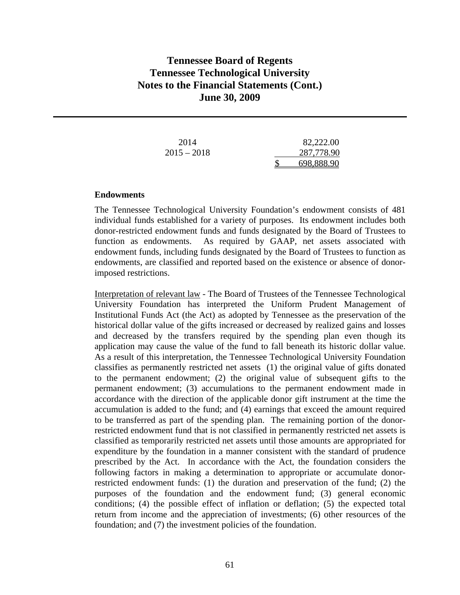| 2014          | 82,222.00  |  |
|---------------|------------|--|
| $2015 - 2018$ | 287,778.90 |  |
|               | 698,888.90 |  |

#### **Endowments**

The Tennessee Technological University Foundation's endowment consists of 481 individual funds established for a variety of purposes. Its endowment includes both donor-restricted endowment funds and funds designated by the Board of Trustees to function as endowments. As required by GAAP, net assets associated with endowment funds, including funds designated by the Board of Trustees to function as endowments, are classified and reported based on the existence or absence of donorimposed restrictions.

Interpretation of relevant law - The Board of Trustees of the Tennessee Technological University Foundation has interpreted the Uniform Prudent Management of Institutional Funds Act (the Act) as adopted by Tennessee as the preservation of the historical dollar value of the gifts increased or decreased by realized gains and losses and decreased by the transfers required by the spending plan even though its application may cause the value of the fund to fall beneath its historic dollar value. As a result of this interpretation, the Tennessee Technological University Foundation classifies as permanently restricted net assets (1) the original value of gifts donated to the permanent endowment; (2) the original value of subsequent gifts to the permanent endowment; (3) accumulations to the permanent endowment made in accordance with the direction of the applicable donor gift instrument at the time the accumulation is added to the fund; and (4) earnings that exceed the amount required to be transferred as part of the spending plan. The remaining portion of the donorrestricted endowment fund that is not classified in permanently restricted net assets is classified as temporarily restricted net assets until those amounts are appropriated for expenditure by the foundation in a manner consistent with the standard of prudence prescribed by the Act. In accordance with the Act, the foundation considers the following factors in making a determination to appropriate or accumulate donorrestricted endowment funds: (1) the duration and preservation of the fund; (2) the purposes of the foundation and the endowment fund; (3) general economic conditions; (4) the possible effect of inflation or deflation; (5) the expected total return from income and the appreciation of investments; (6) other resources of the foundation; and (7) the investment policies of the foundation.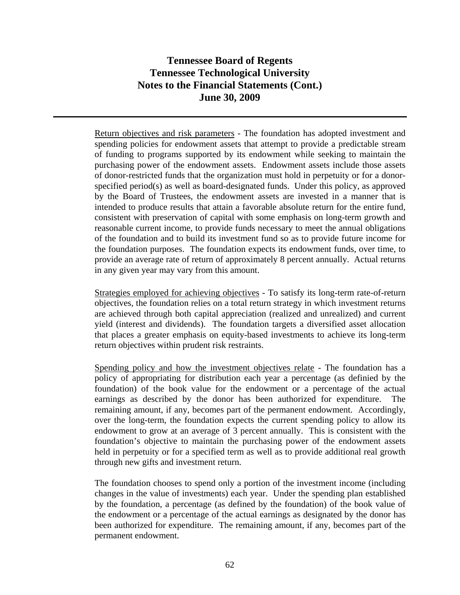Return objectives and risk parameters - The foundation has adopted investment and spending policies for endowment assets that attempt to provide a predictable stream of funding to programs supported by its endowment while seeking to maintain the purchasing power of the endowment assets. Endowment assets include those assets of donor-restricted funds that the organization must hold in perpetuity or for a donorspecified period(s) as well as board-designated funds. Under this policy, as approved by the Board of Trustees, the endowment assets are invested in a manner that is intended to produce results that attain a favorable absolute return for the entire fund, consistent with preservation of capital with some emphasis on long-term growth and reasonable current income, to provide funds necessary to meet the annual obligations of the foundation and to build its investment fund so as to provide future income for the foundation purposes. The foundation expects its endowment funds, over time, to provide an average rate of return of approximately 8 percent annually. Actual returns in any given year may vary from this amount.

Strategies employed for achieving objectives - To satisfy its long-term rate-of-return objectives, the foundation relies on a total return strategy in which investment returns are achieved through both capital appreciation (realized and unrealized) and current yield (interest and dividends). The foundation targets a diversified asset allocation that places a greater emphasis on equity-based investments to achieve its long-term return objectives within prudent risk restraints.

Spending policy and how the investment objectives relate - The foundation has a policy of appropriating for distribution each year a percentage (as definied by the foundation) of the book value for the endowment or a percentage of the actual earnings as described by the donor has been authorized for expenditure. The remaining amount, if any, becomes part of the permanent endowment. Accordingly, over the long-term, the foundation expects the current spending policy to allow its endowment to grow at an average of 3 percent annually. This is consistent with the foundation's objective to maintain the purchasing power of the endowment assets held in perpetuity or for a specified term as well as to provide additional real growth through new gifts and investment return.

The foundation chooses to spend only a portion of the investment income (including changes in the value of investments) each year. Under the spending plan established by the foundation, a percentage (as defined by the foundation) of the book value of the endowment or a percentage of the actual earnings as designated by the donor has been authorized for expenditure. The remaining amount, if any, becomes part of the permanent endowment.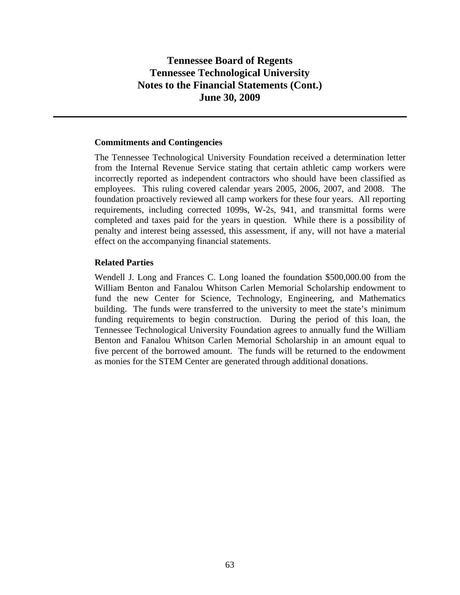### **Commitments and Contingencies**

The Tennessee Technological University Foundation received a determination letter from the Internal Revenue Service stating that certain athletic camp workers were incorrectly reported as independent contractors who should have been classified as employees. This ruling covered calendar years 2005, 2006, 2007, and 2008. The foundation proactively reviewed all camp workers for these four years. All reporting requirements, including corrected 1099s, W-2s, 941, and transmittal forms were completed and taxes paid for the years in question. While there is a possibility of penalty and interest being assessed, this assessment, if any, will not have a material effect on the accompanying financial statements.

## **Related Parties**

Wendell J. Long and Frances C. Long loaned the foundation \$500,000.00 from the William Benton and Fanalou Whitson Carlen Memorial Scholarship endowment to fund the new Center for Science, Technology, Engineering, and Mathematics building. The funds were transferred to the university to meet the state's minimum funding requirements to begin construction. During the period of this loan, the Tennessee Technological University Foundation agrees to annually fund the William Benton and Fanalou Whitson Carlen Memorial Scholarship in an amount equal to five percent of the borrowed amount. The funds will be returned to the endowment as monies for the STEM Center are generated through additional donations.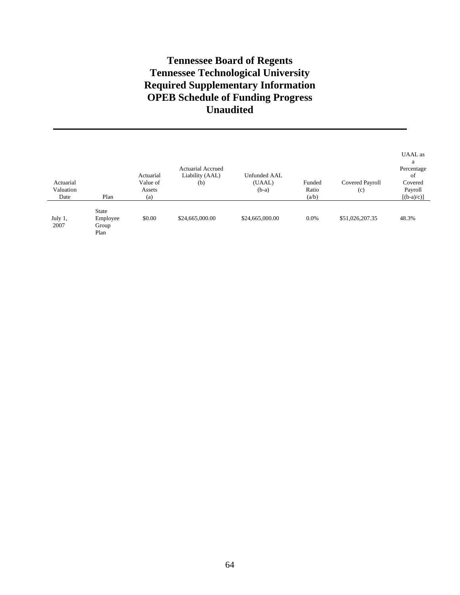# **Tennessee Board of Regents Tennessee Technological University Required Supplementary Information OPEB Schedule of Funding Progress Unaudited**

| Actuarial<br>Valuation<br>Date | Plan                                      | Actuarial<br>Value of<br>Assets<br>(a) | <b>Actuarial Accrued</b><br>Liability (AAL)<br>(b) | Unfunded AAL<br>(UAAL)<br>$(b-a)$ | Funded<br>Ratio<br>(a/b) | Covered Payroll<br>(c) | UAAL as<br>a<br>Percentage<br>of<br>Covered<br>Payroll<br>$[(b-a)/c]$ |
|--------------------------------|-------------------------------------------|----------------------------------------|----------------------------------------------------|-----------------------------------|--------------------------|------------------------|-----------------------------------------------------------------------|
| July 1,<br>2007                | <b>State</b><br>Employee<br>Group<br>Plan | \$0.00                                 | \$24,665,000.00                                    | \$24,665,000.00                   | 0.0%                     | \$51,026,207.35        | 48.3%                                                                 |